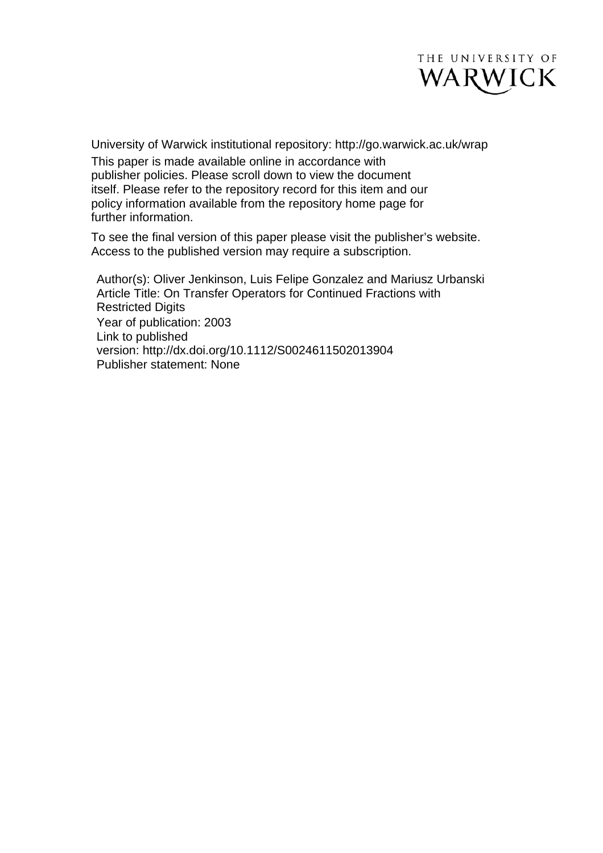

University of Warwick institutional repository: <http://go.warwick.ac.uk/wrap> This paper is made available online in accordance with publisher policies. Please scroll down to view the document itself. Please refer to the repository record for this item and our policy information available from the repository home page for further information.

To see the final version of this paper please visit the publisher's website. Access to the published version may require a subscription.

Author(s): Oliver Jenkinson, Luis Felipe Gonzalez and Mariusz Urbanski Article Title: On Transfer Operators for Continued Fractions with Restricted Digits Year of publication: 2003 Link to published version: http://dx.doi.org/10.1112/S0024611502013904 Publisher statement: None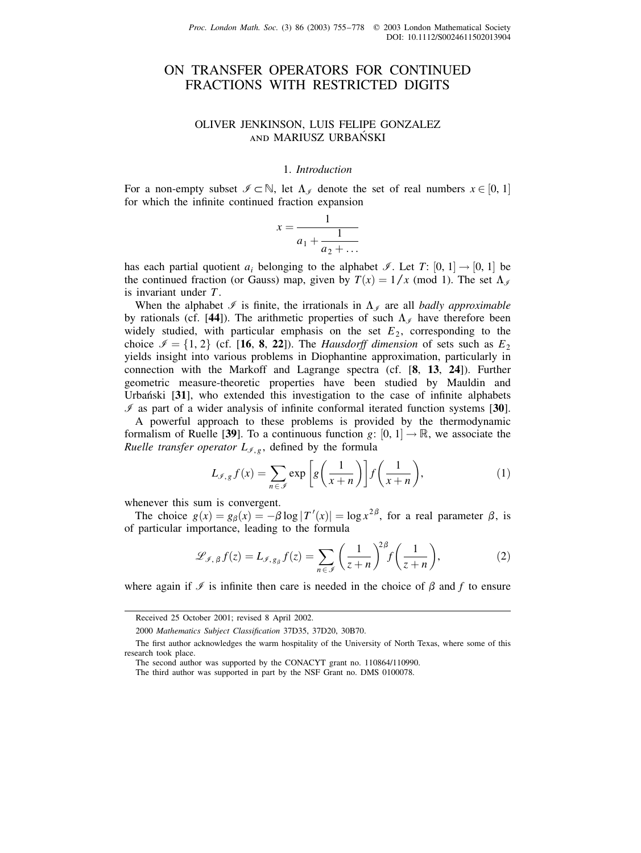# ON TRANSFER OPERATORS FOR CONTINUED FRACTIONS WITH RESTRICTED DIGITS

# OLIVER JENKINSON, LUIS FELIPE GONZALEZ AND MARIUSZ URBAŃSKI

## 1. Introduction

For a non-empty subset  $\mathcal{I} \subset \mathbb{N}$ , let  $\Lambda_{\mathcal{I}}$  denote the set of real numbers  $x \in [0, 1]$ for which the infinite continued fraction expansion

$$
x = \frac{1}{a_1 + \frac{1}{a_2 + \dots}}
$$

has each partial quotient  $a_i$  belonging to the alphabet *I*. Let *T*:  $[0, 1] \rightarrow [0, 1]$  be the continued fraction (or Gauss) map, given by  $T(x) = 1/x$  (mod 1). The set  $\Lambda_{\mathscr{I}}$ is invariant under  $T$ .

When the alphabet  $\mathcal I$  is finite, the irrationals in  $\Lambda_{\mathcal I}$  are all badly approximable by rationals (cf. [44]). The arithmetic properties of such  $\Lambda_{\mathscr{I}}$  have therefore been widely studied, with particular emphasis on the set  $E_2$ , corresponding to the choice  $\mathcal{I} = \{1, 2\}$  (cf. [16, 8, 22]). The *Hausdorff dimension* of sets such as  $E_2$ yields insight into various problems in Diophantine approximation, particularly in connection with the Markoff and Lagrange spectra (cf. [8, 13, 24]). Further geometric measure-theoretic properties have been studied by Mauldin and Urbański [31], who extended this investigation to the case of infinite alphabets  $\mathcal I$  as part of a wider analysis of infinite conformal iterated function systems [30].

A powerful approach to these problems is provided by the thermodynamic formalism of Ruelle [39]. To a continuous function  $g: [0, 1] \to \mathbb{R}$ , we associate the *Ruelle transfer operator*  $L_{\mathcal{I},g}$ , defined by the formula

$$
L_{\mathcal{I},g} f(x) = \sum_{n \in \mathcal{I}} \exp\left[g\left(\frac{1}{x+n}\right)\right] f\left(\frac{1}{x+n}\right),\tag{1}
$$

whenever this sum is convergent.

The choice  $g(x) = g_\beta(x) = -\beta \log |T'(x)| = \log x^{2\beta}$ , for a real parameter  $\beta$ , is of particular importance, leading to the formula

$$
\mathcal{L}_{\mathcal{I},\,\beta}f(z) = L_{\mathcal{I},\,g_{\beta}}f(z) = \sum_{n \in \mathcal{I}} \left(\frac{1}{z+n}\right)^{2\beta} f\left(\frac{1}{z+n}\right),\tag{2}
$$

where again if  $\mathcal I$  is infinite then care is needed in the choice of  $\beta$  and f to ensure

Received 25 October 2001; revised 8 April 2002.

<sup>2000</sup> Mathematics Subject Classification 37D35, 37D20, 30B70.

The first author acknowledges the warm hospitality of the University of North Texas, where some of this research took place.

The second author was supported by the CONACYT grant no. 110864/110990.

The third author was supported in part by the NSF Grant no. DMS 0100078.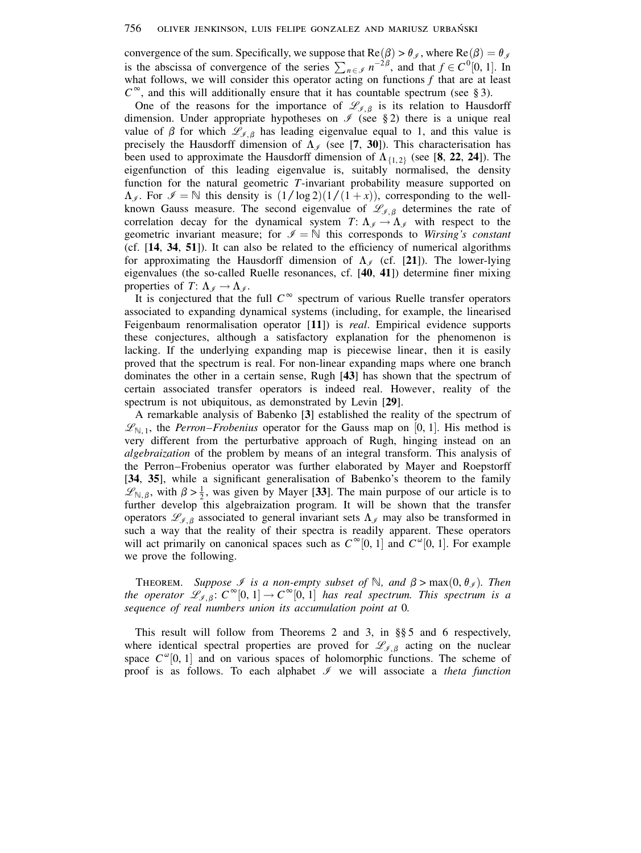convergence of the sum. Specifically, we suppose that  $Re(\beta) > \theta_{\mathcal{J}}$ , where  $Re(\beta) = \theta_{\mathcal{J}}$ is the abscissa of convergence of the series  $\sum_{n \in \mathcal{I}} n^{-2\beta}$ , and that  $f \in C^0[0, 1]$ . In what follows, we will consider this operator acting on functions  $f$  that are at least  $C^{\infty}$ , and this will additionally ensure that it has countable spectrum (see § 3).

One of the reasons for the importance of  $\mathcal{L}_{\mathcal{I},\beta}$  is its relation to Hausdorff dimension. Under appropriate hypotheses on  $\mathcal I$  (see §2) there is a unique real value of  $\beta$  for which  $\mathscr{L}_{\mathscr{I},\beta}$  has leading eigenvalue equal to 1, and this value is precisely the Hausdorff dimension of  $\Lambda_{\ell}$  (see [7, 30]). This characterisation has been used to approximate the Hausdorff dimension of  $\Lambda_{\{1,2\}}$  (see [8, 22, 24]). The eigenfunction of this leading eigenvalue is, suitably normalised, the density function for the natural geometric  $T$ -invariant probability measure supported on  $\Lambda_{\mathscr{I}}$ . For  $\mathscr{I} = \mathbb{N}$  this density is  $(1/\log 2)(1/(1+x))$ , corresponding to the wellknown Gauss measure. The second eigenvalue of  $\mathcal{L}_{\mathcal{J},\beta}$  determines the rate of correlation decay for the dynamical system  $T: \Lambda_{\mathscr{I}} \to \Lambda_{\mathscr{I}}$  with respect to the geometric invariant measure; for  $\mathcal{I} = \mathbb{N}$  this corresponds to Wirsing's constant (cf. [14, 34, 51]). It can also be related to the efficiency of numerical algorithms for approximating the Hausdorff dimension of  $\Lambda_{\ell}$  (cf. [21]). The lower-lying eigenvalues (the so-called Ruelle resonances, cf.  $[40, 41]$ ) determine finer mixing properties of  $T: \Lambda_{\mathscr{I}} \to \Lambda_{\mathscr{I}}$ .

It is conjectured that the full  $C^{\infty}$  spectrum of various Ruelle transfer operators associated to expanding dynamical systems (including, for example, the linearised Feigenbaum renormalisation operator  $[11]$  is *real*. Empirical evidence supports these conjectures, although a satisfactory explanation for the phenomenon is lacking. If the underlying expanding map is piecewise linear, then it is easily proved that the spectrum is real. For non-linear expanding maps where one branch dominates the other in a certain sense, Rugh [43] has shown that the spectrum of certain associated transfer operators is indeed real. However, reality of the spectrum is not ubiquitous, as demonstrated by Levin [29].

A remarkable analysis of Babenko [3] established the reality of the spectrum of  $\mathcal{L}_{\mathbb{N},1}$ , the *Perron–Frobenius* operator for the Gauss map on [0, 1]. His method is very different from the perturbative approach of Rugh, hinging instead on an *algebraization* of the problem by means of an integral transform. This analysis of the Perron-Frobenius operator was further elaborated by Mayer and Roepstorff [34, 35], while a significant generalisation of Babenko's theorem to the family  $\mathcal{L}_{N,\beta}$ , with  $\beta > \frac{1}{2}$ , was given by Mayer [33]. The main purpose of our article is to further develop this algebraization program. It will be shown that the transfer operators  $\mathcal{L}_{\ell,\beta}$  associated to general invariant sets  $\Lambda_{\ell}$  may also be transformed in such a way that the reality of their spectra is readily apparent. These operators will act primarily on canonical spaces such as  $C^{\infty}[0, 1]$  and  $C^{\infty}[0, 1]$ . For example we prove the following.

**THEOREM.** Suppose *I* is a non-empty subset of N, and  $\beta > max(0, \theta_{\ell})$ . Then the operator  $\mathcal{L}_{\mathcal{J},\beta}$ :  $C^{\infty}[0,1] \to C^{\infty}[0,1]$  has real spectrum. This spectrum is a sequence of real numbers union its accumulation point at 0.

This result will follow from Theorems 2 and 3, in  $\S$  5 and 6 respectively, where identical spectral properties are proved for  $\mathcal{L}_{\mathcal{J},\beta}$  acting on the nuclear space  $C^{\omega}[0, 1]$  and on various spaces of holomorphic functions. The scheme of proof is as follows. To each alphabet  $\mathcal I$  we will associate a *theta function*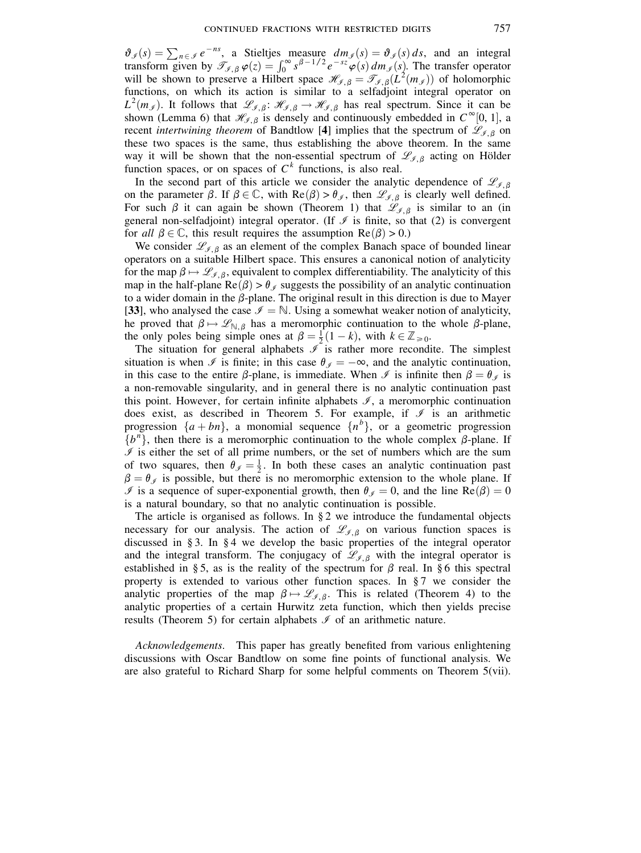$\vartheta_{\mathscr{I}}(s) = \sum_{n \in \mathscr{I}} e^{-ns}$ , a Stieltjes measure  $dm_{\mathscr{I}}(s) = \vartheta_{\mathscr{I}}(s) ds$ , and an integral transform given by  $\mathscr{T}_{\mathscr{I},\beta} \varphi(z) = \int_0^\infty s^{\beta-1/2} e^{-sz} \varphi(s) dm_{\mathscr{I}}(s)$ . The transfer operator will be shown to preserve a Hilbert space  $\mathcal{H}_{\mathcal{I},\beta} = \mathcal{T}_{\mathcal{I},\beta}(L^2(m_{\mathcal{I}}))$  of holomorphic functions, on which its action is similar to a selfadjoint integral operator on  $L^2(m_{\mathscr{I}})$ . It follows that  $\mathscr{L}_{\mathscr{I},\beta}$ :  $\mathscr{H}_{\mathscr{I},\beta} \to \mathscr{H}_{\mathscr{I},\beta}$  has real spectrum. Since it can be shown (Lemma 6) that  $\mathcal{H}_{f, \beta}$  is densely and continuously embedded in  $C^{\infty}[0, 1]$ , a recent *intertwining theorem* of Bandtlow [4] implies that the spectrum of  $\mathcal{L}_{\mathcal{I},\beta}$  on these two spaces is the same, thus establishing the above theorem. In the same way it will be shown that the non-essential spectrum of  $\mathscr{L}_{\mathscr{I},\beta}$  acting on Hölder function spaces, or on spaces of  $C<sup>k</sup>$  functions, is also real.

In the second part of this article we consider the analytic dependence of  $\mathscr{L}_{\mathscr{I},\beta}$ on the parameter  $\beta$ . If  $\beta \in \mathbb{C}$ , with  $\text{Re}(\beta) > \theta_{\beta}$ , then  $\mathscr{L}_{\beta,\beta}$  is clearly well defined. For such  $\beta$  it can again be shown (Theorem 1) that  $\mathcal{L}_{\beta,\beta}$  is similar to an (in general non-selfadjoint) integral operator. (If  $\mathcal I$  is finite, so that (2) is convergent for all  $\beta \in \mathbb{C}$ , this result requires the assumption  $\text{Re}(\beta) > 0$ .)

We consider  $\mathcal{L}_{\mathcal{J},\beta}$  as an element of the complex Banach space of bounded linear operators on a suitable Hilbert space. This ensures a canonical notion of analyticity for the map  $\beta \mapsto \mathcal{L}_{\beta,\beta}$ , equivalent to complex differentiability. The analyticity of this map in the half-plane  $\text{Re}(\beta) > \theta_{\mathscr{I}}$  suggests the possibility of an analytic continuation to a wider domain in the  $\beta$ -plane. The original result in this direction is due to Mayer [33], who analysed the case  $\mathcal{I} = \mathbb{N}$ . Using a somewhat weaker notion of analyticity, he proved that  $\beta \mapsto \mathscr{L}_{\mathbb{N},\beta}$  has a meromorphic continuation to the whole  $\beta$ -plane, the only poles being simple ones at  $\beta = \frac{1}{2}(1 - k)$ , with  $k \in \mathbb{Z}_{\geq 0}$ .

The situation for general alphabets  $\overline{J}$  is rather more recondite. The simplest situation is when  $\Im$  is finite; in this case  $\theta_{\Im} = -\infty$ , and the analytic continuation, in this case to the entire  $\beta$ -plane, is immediate. When  $\Im$  is infinite then  $\beta = \theta_{\mathscr{I}}$  is a non-removable singularity, and in general there is no analytic continuation past this point. However, for certain infinite alphabets  $\mathcal{I}$ , a meromorphic continuation does exist, as described in Theorem 5. For example, if  $\mathcal I$  is an arithmetic progression  $\{a + bn\}$ , a monomial sequence  $\{n^b\}$ , or a geometric progression  $\{b^n\}$ , then there is a meromorphic continuation to the whole complex  $\beta$ -plane. If  $\mathcal I$  is either the set of all prime numbers, or the set of numbers which are the sum of two squares, then  $\theta_{\mathscr{I}} = \frac{1}{2}$ . In both these cases an analytic continuation past  $\beta = \theta_{\mathcal{I}}$  is possible, but there is no meromorphic extension to the whole plane. If  $\mathcal I$  is a sequence of super-exponential growth, then  $\theta_{\mathcal I} = 0$ , and the line Re( $\beta$ ) = 0 is a natural boundary, so that no analytic continuation is possible.

The article is organised as follows. In  $\S 2$  we introduce the fundamental objects necessary for our analysis. The action of  $\mathscr{L}_{\mathscr{I},\beta}$  on various function spaces is discussed in § 3. In § 4 we develop the basic properties of the integral operator and the integral transform. The conjugacy of  $\mathscr{L}_{\mathscr{I},\beta}$  with the integral operator is established in §5, as is the reality of the spectrum for  $\beta$  real. In §6 this spectral property is extended to various other function spaces. In  $\S 7$  we consider the analytic properties of the map  $\beta \mapsto \mathscr{L}_{\mathscr{I},\beta}$ . This is related (Theorem 4) to the analytic properties of a certain Hurwitz zeta function, which then yields precise results (Theorem 5) for certain alphabets  $\mathcal I$  of an arithmetic nature.

Acknowledgements. This paper has greatly benefited from various enlightening discussions with Oscar Bandtlow on some fine points of functional analysis. We are also grateful to Richard Sharp for some helpful comments on Theorem 5(vii).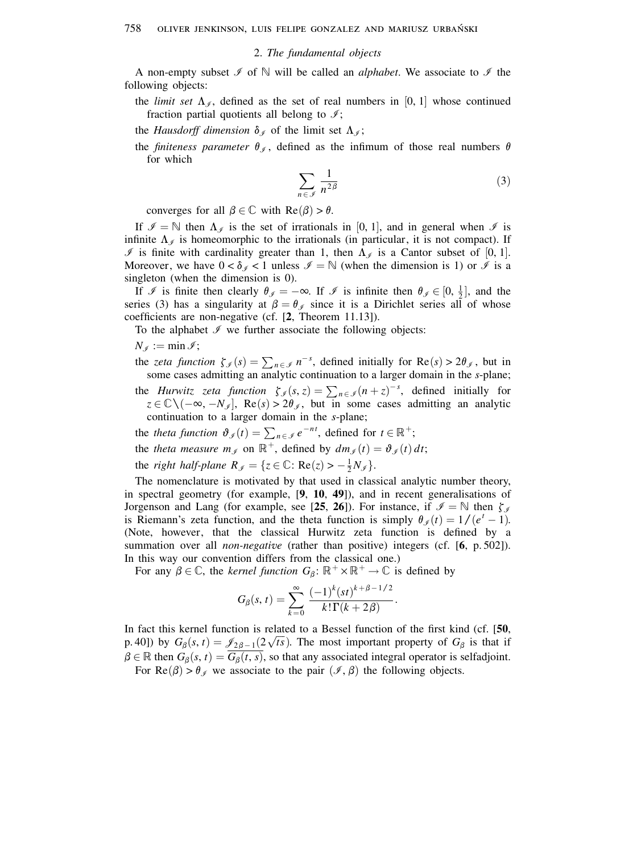## 2. The fundamental objects

A non-empty subset  $\mathcal I$  of  $\mathbb N$  will be called an *alphabet*. We associate to  $\mathcal I$  the following objects:

the *limit set*  $\Lambda_{\mathscr{I}}$ , defined as the set of real numbers in [0, 1] whose continued fraction partial quotients all belong to  $\mathcal{I}$ ;

the *Hausdorff dimension*  $\delta_{\mathcal{J}}$  of the limit set  $\Lambda_{\mathcal{J}}$ ;

the *finiteness parameter*  $\theta_{\mathcal{I}}$ , defined as the infimum of those real numbers  $\theta$ for which

$$
\sum_{n \in \mathcal{I}} \frac{1}{n^{2\beta}} \tag{3}
$$

converges for all  $\beta \in \mathbb{C}$  with  $\text{Re}(\beta) > \theta$ .

If  $\mathcal{I} = \mathbb{N}$  then  $\Lambda_{\mathcal{I}}$  is the set of irrationals in [0, 1], and in general when  $\mathcal{I}$  is infinite  $\Lambda_{\mathscr{I}}$  is homeomorphic to the irrationals (in particular, it is not compact). If If is finite with cardinality greater than 1, then  $\Lambda_{\mathscr{I}}$  is a Cantor subset of [0, 1]. Moreover, we have  $0 < \delta_{\mathscr{I}} < 1$  unless  $\mathscr{I} = \mathbb{N}$  (when the dimension is 1) or  $\mathscr{I}$  is a singleton (when the dimension is  $0$ ).

If  $\mathcal I$  is finite then clearly  $\theta_{\mathcal I} = -\infty$ . If  $\mathcal I$  is infinite then  $\theta_{\mathcal I} \in [0, \frac{1}{2}]$ , and the series (3) has a singularity at  $\beta = \theta_{\mathscr{I}}$  since it is a Dirichlet series all of whose coefficients are non-negative (cf. [2, Theorem 11.13]).

To the alphabet  $\mathcal I$  we further associate the following objects:

 $N_{\mathscr{I}} := \min \mathscr{I};$ 

the zeta function  $\zeta_{\mathcal{J}}(s) = \sum_{n \in \mathcal{J}} n^{-s}$ , defined initially for  $\text{Re}(s) > 2\theta_{\mathcal{J}}$ , but in some cases admitting an analytic continuation to a larger domain in the s-plane;

- the *Hurwitz zeta function*  $\zeta_{\mathcal{J}}(s, z) = \sum_{n \in \mathcal{J}} (n + z)^{-s}$ , defined initially for  $z \in \mathbb{C} \setminus (-\infty, -N_{\mathcal{J}}]$ , Re(s) > 2 $\theta_{\mathcal{J}}$ , but in some cases admitting an analytic continuation to a larger domain in the s-plane;
- the theta function  $\vartheta_{\mathcal{I}}(t) = \sum_{n \in \mathcal{I}} e^{-nt}$ , defined for  $t \in \mathbb{R}^+$ ;
- the theta measure  $m_{\mathscr{I}}$  on  $\mathbb{R}^+$ , defined by  $dm_{\mathscr{I}}(t) = \vartheta_{\mathscr{I}}(t) dt$ ;

the right half-plane  $R_{\mathscr{I}} = \{z \in \mathbb{C} : \text{Re}(z) > -\frac{1}{2}N_{\mathscr{I}}\}.$ 

The nomenclature is motivated by that used in classical analytic number theory, in spectral geometry (for example,  $[9, 10, 49]$ ), and in recent generalisations of Jorgenson and Lang (for example, see [25, 26]). For instance, if  $\mathcal{I} = \mathbb{N}$  then  $\zeta_{\mathcal{I}}$ is Riemann's zeta function, and the theta function is simply  $\theta_{\ell}(t) = 1/(e^{t}-1)$ . (Note, however, that the classical Hurwitz zeta function is defined by a summation over all *non-negative* (rather than positive) integers (cf.  $[6, p.502]$ ). In this way our convention differs from the classical one.)

For any  $\beta \in \mathbb{C}$ , the *kernel function*  $G_{\beta}$ :  $\mathbb{R}^+ \times \mathbb{R}^+ \to \mathbb{C}$  is defined by

$$
G_{\beta}(s,t) = \sum_{k=0}^{\infty} \frac{(-1)^k (st)^{k+\beta-1/2}}{k!\,\Gamma(k+2\beta)}
$$

In fact this kernel function is related to a Bessel function of the first kind (cf. [50, p. 40]) by  $G_{\beta}(s, t) = \mathcal{J}_{2\beta - 1}(2\sqrt{ts})$ . The most important property of  $G_{\beta}$  is that if  $\beta \in \mathbb{R}$  then  $G_{\beta}(s, t) = G_{\beta}(t, s)$ , so that any associated integral operator is selfadjoint. For  $\text{Re}(\beta) > \theta_{\mathscr{I}}$  we associate to the pair  $(\mathscr{I}, \beta)$  the following objects.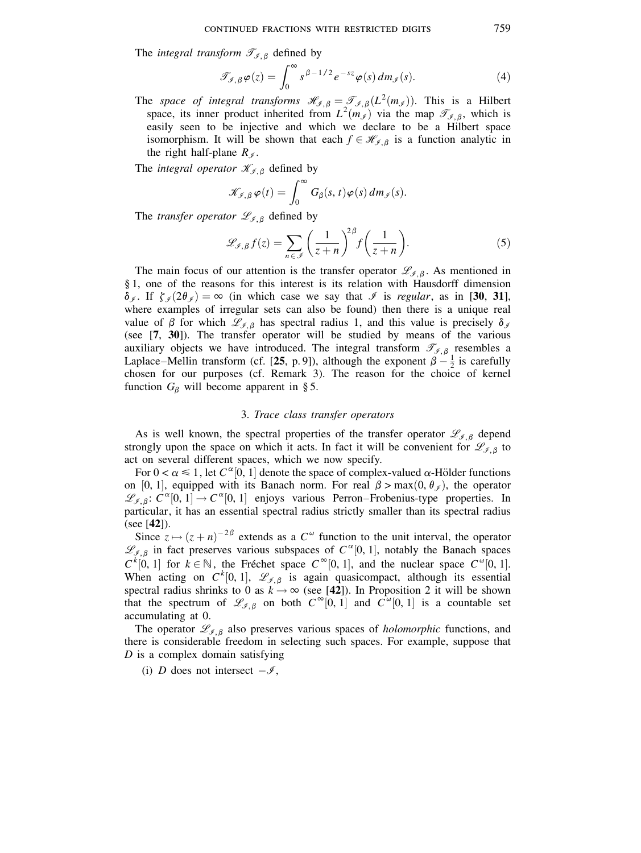The *integral transform*  $\mathcal{T}_{\mathcal{I},\beta}$  defined by

$$
\mathcal{T}_{\mathcal{I},\beta}\varphi(z) = \int_0^\infty s^{\beta - 1/2} e^{-sz} \varphi(s) \, dm_{\mathcal{I}}(s). \tag{4}
$$

The *space of integral transforms*  $\mathcal{H}_{\mathcal{J},\beta} = \mathcal{T}_{\mathcal{J},\beta}(L^2(m_{\mathcal{J}}))$ . This is a Hilbert space, its inner product inherited from  $L^2(m_{\mathcal{J}})$  via the map  $\mathcal{T}_{\mathcal{J},\beta}$ , which is easily seen to be injective and which we declare to be a Hilbert space isomorphism. It will be shown that each  $f \in \mathcal{H}_{\mathcal{I},\beta}$  is a function analytic in the right half-plane  $R_{\mathscr{I}}$ .

The *integral operator*  $\mathcal{K}_{\mathcal{I},\beta}$  defined by

$$
\mathscr{K}_{\mathscr{I},\,\beta}\,\varphi(t)=\int_0^\infty G_\beta(s,t)\varphi(s)\,dm_{\mathscr{I}}(s).
$$

The *transfer operator*  $\mathscr{L}_{\mathscr{I},\beta}$  defined by

$$
\mathcal{L}_{\mathcal{I},\beta}f(z) = \sum_{n \in \mathcal{I}} \left(\frac{1}{z+n}\right)^{2\beta} f\left(\frac{1}{z+n}\right). \tag{5}
$$

The main focus of our attention is the transfer operator  $\mathscr{L}_{\mathscr{I},\beta}$ . As mentioned in  $§$  1, one of the reasons for this interest is its relation with Hausdorff dimension  $\delta_{\mathscr{I}}$ . If  $\zeta_{\mathscr{I}}(2\theta_{\mathscr{I}}) = \infty$  (in which case we say that  $\mathscr{I}$  is regular, as in [30, 31], where examples of irregular sets can also be found) then there is a unique real value of  $\beta$  for which  $\mathscr{L}_{\beta,\beta}$  has spectral radius 1, and this value is precisely  $\delta_{\beta}$ (see [7, 30]). The transfer operator will be studied by means of the various auxiliary objects we have introduced. The integral transform  $\mathcal{T}_{\mathcal{I},\beta}$  resembles a Laplace–Mellin transform (cf. [25, p. 9]), although the exponent  $\beta - \frac{1}{2}$  is carefully chosen for our purposes (cf. Remark 3). The reason for the choice of kernel function  $G_{\beta}$  will become apparent in § 5.

## 3. Trace class transfer operators

As is well known, the spectral properties of the transfer operator  $\mathscr{L}_{\mathscr{I},\beta}$  depend strongly upon the space on which it acts. In fact it will be convenient for  $\mathcal{L}_{\mathcal{I},\beta}$  to act on several different spaces, which we now specify.

For  $0 < \alpha \le 1$ , let  $C^{\alpha}[0, 1]$  denote the space of complex-valued  $\alpha$ -Hölder functions on [0, 1], equipped with its Banach norm. For real  $\beta > \max(0, \theta_{\mathcal{J}})$ , the operator  $\mathscr{L}_{\mathscr{I},\beta}$ :  $C^{\alpha}[0,1] \rightarrow C^{\alpha}[0,1]$  enjoys various Perron–Frobenius-type properties. In particular, it has an essential spectral radius strictly smaller than its spectral radius  $(see [42]).$ 

Since  $z \mapsto (z+n)^{-2\beta}$  extends as a  $C^{\omega}$  function to the unit interval, the operator  $\mathscr{L}_{\mathscr{I},\beta}$  in fact preserves various subspaces of  $C^{\alpha}[0,1]$ , notably the Banach spaces  $C^{k}[0, 1]$  for  $k \in \mathbb{N}$ , the Fréchet space  $C^{\infty}[0, 1]$ , and the nuclear space  $C^{\infty}[0, 1]$ . When acting on  $C^k[0, 1]$ ,  $\mathcal{L}_{\mathcal{J}, \beta}$  is again quasicompact, although its essential spectral radius shrinks to 0 as  $k \to \infty$  (see [42]). In Proposition 2 it will be shown that the spectrum of  $\mathcal{L}_{\mathscr{I},\beta}$  on both  $C^{\infty}[0,1]$  and  $C^{\infty}[0,1]$  is a countable set accumulating at 0.

The operator  $\mathcal{L}_{\mathcal{I},\beta}$  also preserves various spaces of *holomorphic* functions, and there is considerable freedom in selecting such spaces. For example, suppose that  $D$  is a complex domain satisfying

(i) D does not intersect  $-\mathscr{I}$ ,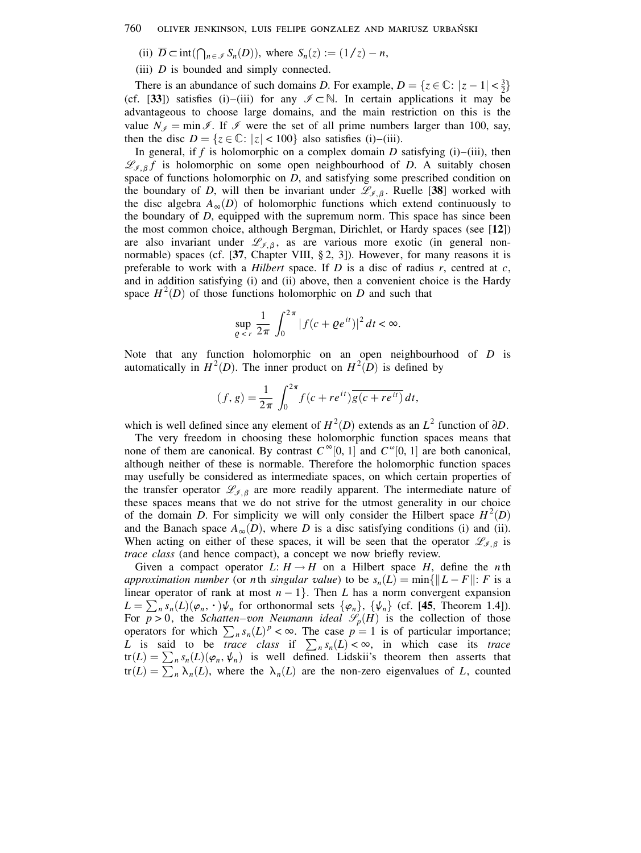(ii)  $\overline{D} \subset \text{int}(\bigcap_{n \in \mathcal{I}} S_n(D))$ , where  $S_n(z) := (1/z) - n$ ,

(iii)  $D$  is bounded and simply connected.

There is an abundance of such domains D. For example,  $D = \{z \in \mathbb{C} : |z - 1| < \frac{3}{2}\}\$ (cf. [33]) satisfies (i)–(iii) for any  $\mathscr{I} \subset \mathbb{N}$ . In certain applications it may be advantageous to choose large domains, and the main restriction on this is the value  $N_f = \min \mathcal{I}$ . If  $\mathcal{I}$  were the set of all prime numbers larger than 100, say, then the disc  $D = \{z \in \mathbb{C} : |z| < 100\}$  also satisfies (i)–(iii).

In general, if f is holomorphic on a complex domain D satisfying  $(i)$ – $(iii)$ , then  $\mathcal{L}_{\mathcal{I},\beta}f$  is holomorphic on some open neighbourhood of D. A suitably chosen space of functions holomorphic on  $D$ , and satisfying some prescribed condition on the boundary of D, will then be invariant under  $\mathcal{L}_{\mathcal{J},\beta}$ . Ruelle [38] worked with the disc algebra  $A_{\infty}(D)$  of holomorphic functions which extend continuously to the boundary of  $D$ , equipped with the supremum norm. This space has since been the most common choice, although Bergman, Dirichlet, or Hardy spaces (see [12]) are also invariant under  $\mathcal{L}_{\mathcal{I},\beta}$ , as are various more exotic (in general nonnormable) spaces (cf. [37, Chapter VIII, §2, 3]). However, for many reasons it is preferable to work with a *Hilbert* space. If  $D$  is a disc of radius  $r$ , centred at  $c$ , and in addition satisfying (i) and (ii) above, then a convenient choice is the Hardy space  $H^2(D)$  of those functions holomorphic on D and such that

$$
\sup_{\varrho < r} \frac{1}{2\pi} \int_0^{2\pi} |f(c + \varrho e^{it})|^2 \, dt < \infty.
$$

Note that any function holomorphic on an open neighbourhood of  $D$  is automatically in  $H^2(D)$ . The inner product on  $H^2(D)$  is defined by

$$
(f, g) = \frac{1}{2\pi} \int_0^{2\pi} f(c + re^{it}) \overline{g(c + re^{it})} dt,
$$

which is well defined since any element of  $H^2(D)$  extends as an  $L^2$  function of  $\partial D$ .

The very freedom in choosing these holomorphic function spaces means that none of them are canonical. By contrast  $C^{\infty}[0, 1]$  and  $C^{\omega}[0, 1]$  are both canonical, although neither of these is normable. Therefore the holomorphic function spaces may usefully be considered as intermediate spaces, on which certain properties of the transfer operator  $\mathcal{L}_{\mathcal{I},\beta}$  are more readily apparent. The intermediate nature of these spaces means that we do not strive for the utmost generality in our choice of the domain D. For simplicity we will only consider the Hilbert space  $H^2(D)$ and the Banach space  $A_{\infty}(D)$ , where D is a disc satisfying conditions (i) and (ii). When acting on either of these spaces, it will be seen that the operator  $\mathcal{L}_{f, \beta}$  is trace class (and hence compact), a concept we now briefly review.

Given a compact operator L:  $H \rightarrow H$  on a Hilbert space H, define the *n*th approximation number (or nth singular value) to be  $s_n(L) = \min\{||L - F||: F$  is a linear operator of rank at most  $n-1$ . Then L has a norm convergent expansion  $L = \sum_{n} s_n(L)(\varphi_n, \cdot) \psi_n$  for orthonormal sets  $\{\varphi_n\}$ ,  $\{\psi_n\}$  (cf. [45, Theorem 1.4]). For  $p > 0$ , the *Schatten-von Neumann ideal*  $\mathcal{S}_p(H)$  is the collection of those operators for which  $\sum_{n} s_n(L)^p < \infty$ . The case  $p = 1$  is of particular importance; L is said to be *trace class* if  $\sum_{n} s_n(L) < \infty$ , in which case its *trace*  $tr(L) = \sum_{n} s_n(L)(\varphi_n, \psi_n)$  is well defined. Lidskii's theorem then asserts that  $tr(L) = \sum_{n} \lambda_n(L)$ , where the  $\lambda_n(L)$  are the non-zero eigenvalues of L, counted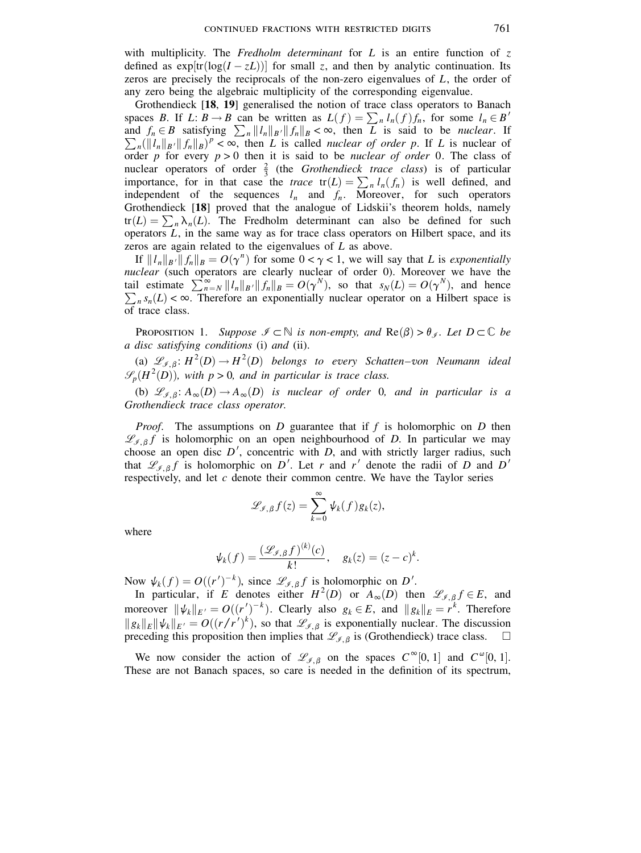with multiplicity. The Fredholm determinant for L is an entire function of  $z$ defined as  $\exp[\text{tr}(\log(I - zL))]$  for small z, and then by analytic continuation. Its zeros are precisely the reciprocals of the non-zero eigenvalues of  $L$ , the order of any zero being the algebraic multiplicity of the corresponding eigenvalue.

Grothendieck [18, 19] generalised the notion of trace class operators to Banach spaces *B*. If *L*:  $B \to B$  can be written as  $L(f) = \sum_n l_n(f) f_n$ , for some  $l_n \in B'$  and  $f_n \in B$  satisfying  $\sum_n ||l_n||_{B'} ||f_n||_B < \infty$ , then *L* is said to be *nuclear*. If  $\sum_{n} (\|l_n\|_{B'} \|f_n\|_{B})^p < \infty$ , then L is called *nuclear of order p*. If L is nuclear of order p for every  $p > 0$  then it is said to be *nuclear of order* 0. The class of nuclear operators of order  $\frac{2}{3}$  (the *Grothendieck trace class*) is of particular importance, for in that case the *trace*  $tr(L) = \sum_{n} l_n(f_n)$  is well defined, and independent of the sequences  $l_n$  and  $f_n$ . Moreover, for such operators Grothendieck [18] proved that the analogue of Lidskii's theorem holds, namely  $tr(L) = \sum_{n} \lambda_n(L)$ . The Fredholm determinant can also be defined for such operators  $L$ , in the same way as for trace class operators on Hilbert space, and its zeros are again related to the eigenvalues of  $L$  as above.

If  $||l_n||_{B'}||f_n||_B = O(\gamma^n)$  for some  $0 < \gamma < 1$ , we will say that L is exponentially nuclear (such operators are clearly nuclear of order 0). Moreover we have the<br>tail estimate  $\sum_{n=N}^{\infty} ||l_n||_{B'} ||f_n||_B = O(\gamma^N)$ , so that  $s_N(L) = O(\gamma^N)$ , and hence<br> $\sum_n s_n(L) < \infty$ . Therefore an exponentially nuclear operator on of trace class.

**PROPOSITION 1.** Suppose  $\mathcal{I} \subset \mathbb{N}$  is non-empty, and  $\text{Re}(\beta) > \theta_{\mathcal{I}}$ . Let  $D \subset \mathbb{C}$  be a disc satisfying conditions (i) and (ii).

(a)  $\mathcal{L}_{\mathcal{I},\beta}$ :  $H^2(D) \rightarrow H^2(D)$  belongs to every Schatten-von Neumann ideal  $\mathcal{S}_n(H^2(D))$ , with  $p > 0$ , and in particular is trace class.

(b)  $\mathcal{L}_{\mathcal{I},\beta}$ :  $A_{\infty}(D) \to A_{\infty}(D)$  is nuclear of order 0, and in particular is a Grothendieck trace class operator.

*Proof.* The assumptions on  $D$  guarantee that if  $f$  is holomorphic on  $D$  then  $\mathcal{L}_{\ell\beta}$  f is holomorphic on an open neighbourhood of D. In particular we may choose an open disc  $D'$ , concentric with  $D$ , and with strictly larger radius, such that  $\mathcal{L}_{f, \beta} f$  is holomorphic on D'. Let r and r' denote the radii of D and D' respectively, and let  $c$  denote their common centre. We have the Taylor series

$$
\mathscr{L}_{\mathscr{I},\beta}f(z)=\sum_{k=0}^{\infty}\psi_k(f)g_k(z),
$$

where

$$
\psi_k(f) = \frac{(\mathscr{L}_{\mathscr{I},\beta}f)^{(k)}(c)}{k!}, \quad g_k(z) = (z-c)^k.
$$

Now  $\psi_k(f) = O((r')^{-k})$ , since  $\mathcal{L}_{\mathscr{I},\beta} f$  is holomorphic on D'.

In particular, if E denotes either  $H^2(D)$  or  $A_{\infty}(D)$  then  $\mathscr{L}_{\mathscr{I},\beta} f \in E$ , and moreover  $\|\psi_k\|_{E'} = O((r')^{-k})$ . Clearly also  $g_k \in E$ , and  $\|g_k\|_E = r^k$ . Therefore  $||g_k||_E ||\psi_k||_{E'} = O((r/r')^k)$ , so that  $\mathscr{L}_{\mathscr{I}, \beta}$  is exponentially nuclear. The discussion preceding this proposition then implies that  $\mathcal{L}_{f, \beta}$  is (Grothendieck) trace class.

We now consider the action of  $\mathcal{L}_{\ell, \beta}$  on the spaces  $C^{\infty}[0, 1]$  and  $C^{\omega}[0, 1]$ . These are not Banach spaces, so care is needed in the definition of its spectrum,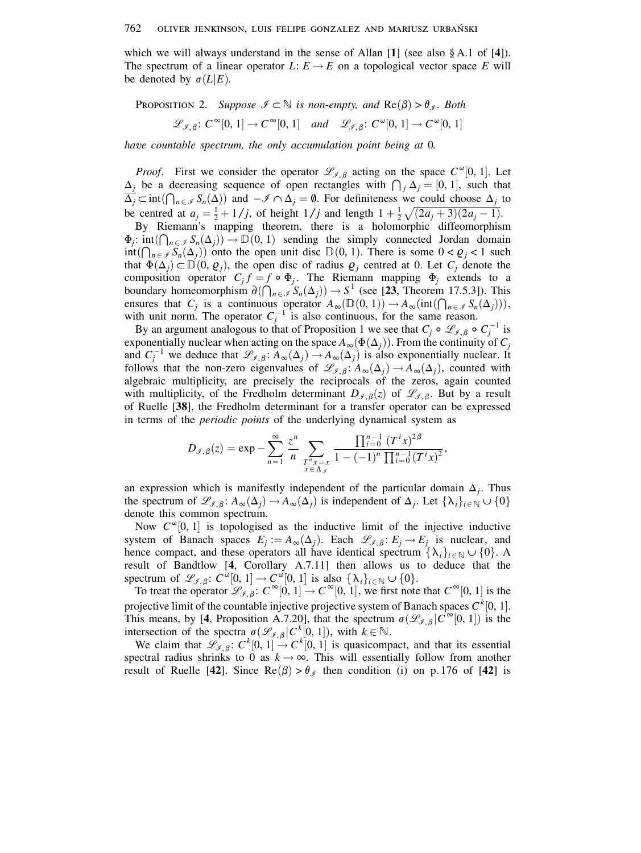which we will always understand in the sense of Allan [1] (see also  $\S$  A.1 of [4]). The spectrum of a linear operator  $L: E \to E$  on a topological vector space E will be denoted by  $\sigma(L|E)$ .

**PROPOSITION** 2. Suppose  $\mathcal{I} \subset \mathbb{N}$  is non-empty, and  $\text{Re}(\beta) > \theta_{\mathcal{I}}$ . Both

 $\mathscr{L}_{\mathscr{I},\beta}$ :  $C^{\infty}[0, 1] \to C^{\infty}[0, 1]$  and  $\mathscr{L}_{\mathscr{I},\beta}$ :  $C^{\omega}[0, 1] \to C^{\omega}[0, 1]$ 

have countable spectrum, the only accumulation point being at 0.

*Proof.* First we consider the operator  $\mathcal{L}_{f, \beta}$  acting on the space  $C^{\omega}[0, 1]$ . Let  $\Delta_i$  be a decreasing sequence of open rectangles with  $\bigcap_i \Delta_i = [0, 1]$ , such that  $\overline{\Delta}_i \subset \text{int}(\bigcap_{n \in \mathcal{I}} S_n(\Delta))$  and  $-\mathcal{I} \cap \Delta_i = \emptyset$ . For definiteness we could choose  $\Delta_i$  to be centred at  $a_i = \frac{1}{2} + 1/j$ , of height  $1/j$  and length  $1 + \frac{1}{2}\sqrt{(2a_i + 3)(2a_i - 1)}$ .

By Riemann's mapping theorem, there is a holomorphic diffeomorphism  $\Phi_i$ : int $(\bigcap_{n \in \mathcal{I}} S_n(\Delta_i)) \to \mathbb{D}(0, 1)$  sending the simply connected Jordan domain  $int(\bigcap_{n\in\mathscr{I}}S_n(\Delta_i))$  onto the open unit disc  $\mathbb{D}(0,1)$ . There is some  $0<\varrho_i<1$  such that  $\Phi(\Delta_i) \subset \mathbb{D}(0, \varrho_i)$ , the open disc of radius  $\varrho_i$  centred at 0. Let  $C_i$  denote the composition operator  $C_j f = f \circ \Phi_j$ . The Riemann mapping  $\Phi_j$  extends to a boundary homeomorphism  $\partial(\bigcap_{n\in\mathcal{I}}S_n(\Delta_i))\to S^1$  (see [23, Theorem 17.5.3]). This ensures that  $C_i$  is a continuous operator  $A_\infty(\mathbb{D}(0,1)) \to A_\infty(\text{int}(\bigcap_{n \in \mathcal{I}} S_n(\Delta_i))),$ with unit norm. The operator  $C_i^{-1}$  is also continuous, for the same reason.

By an argument analogous to that of Proposition 1 we see that  $C_i \circ \mathcal{L}_{\mathcal{I}, \beta} \circ C_i^{-1}$  is exponentially nuclear when acting on the space  $A_{\infty}(\Phi(\Delta_i))$ . From the continuity of  $C_i$ and  $C_i^{-1}$  we deduce that  $\mathscr{L}_{\mathscr{I},\beta}$ :  $A_\infty(\Delta_i) \to A_\infty(\Delta_i)$  is also exponentially nuclear. It follows that the non-zero eigenvalues of  $\mathscr{L}_{\mathscr{I},\beta}$ :  $A_{\infty}(\Delta_j) \to A_{\infty}(\Delta_j)$ , counted with algebraic multiplicity, are precisely the reciprocals of the zeros, again counted with multiplicity, of the Fredholm determinant  $D_{\mathscr{I},\beta}(z)$  of  $\mathscr{L}_{\mathscr{I},\beta}$ . But by a result of Ruelle [38], the Fredholm determinant for a transfer operator can be expressed in terms of the *periodic points* of the underlying dynamical system as

$$
D_{\mathscr{I},\beta}(z) = \exp - \sum_{n=1}^{\infty} \frac{z^n}{n} \sum_{\substack{T^n x = x \\ x \in \Lambda_{\mathscr{I}}}} \frac{\prod_{i=0}^{n-1} (T^i x)^{2\beta}}{1 - (-1)^n \prod_{i=0}^{n-1} (T^i x)^2},
$$

an expression which is manifestly independent of the particular domain  $\Delta_i$ . Thus the spectrum of  $\mathscr{L}_{\mathscr{I},\beta}$ :  $A_{\infty}(\Delta_i) \to A_{\infty}(\Delta_i)$  is independent of  $\Delta_i$ . Let  $\{\lambda_i\}_{i\in\mathbb{N}}\cup\{0\}$ denote this common spectrum.

Now  $C^{\omega}[0, 1]$  is topologised as the inductive limit of the injective inductive system of Banach spaces  $E_i := A_\infty(\Delta_i)$ . Each  $\mathscr{L}_{\mathscr{I}, \mathscr{B}} : E_i \to E_i$  is nuclear, and hence compact, and these operators all have identical spectrum  $\{\lambda_i\}_{i\in\mathbb{N}}\cup\{0\}$ . A result of Bandtlow [4, Corollary A.7.11] then allows us to deduce that the spectrum of  $\mathcal{L}_{\mathcal{J},\beta}$ :  $C^{\omega}[0,1] \to C^{\omega}[0,1]$  is also  $\{\lambda_i\}_{i \in \mathbb{N}} \cup \{0\}.$ 

To treat the operator  $\mathscr{L}_{\mathscr{I},\beta}$ :  $C^{\infty}[0, 1] \to C^{\infty}[0, 1]$ , we first note that  $C^{\infty}[0, 1]$  is the projective limit of the countable injective projective system of Banach spaces  $C^{k}[0, 1]$ . This means, by [4, Proposition A.7.20], that the spectrum  $\sigma(\mathcal{L}_{\mathcal{I},\beta}|C^{\infty}[0,1])$  is the intersection of the spectra  $\sigma(\mathcal{L}_{\mathcal{J},\beta}|C^k[0,1])$ , with  $k \in \mathbb{N}$ .<br>We claim that  $\mathcal{L}_{\mathcal{J},\beta}$ :  $C^k[0,1] \to C^k[0,1]$  is quasicompact, and that its essential

spectral radius shrinks to 0 as  $k \to \infty$ . This will essentially follow from another result of Ruelle [42]. Since  $\text{Re}(\beta) > \theta_{\mathscr{I}}$  then condition (i) on p.176 of [42] is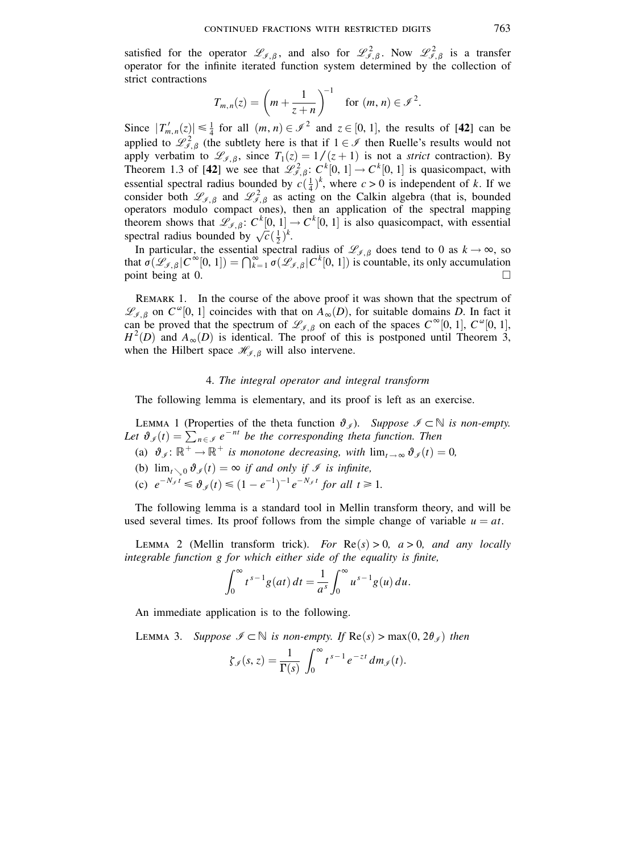satisfied for the operator  $\mathscr{L}_{\mathscr{I},\beta}$ , and also for  $\mathscr{L}_{\mathscr{I},\beta}^2$ . Now  $\mathscr{L}_{\mathscr{I},\beta}^2$  is a transfer operator for the infinite iterated function system determined by the collection of strict contractions

$$
T_{m,n}(z) = \left(m + \frac{1}{z+n}\right)^{-1} \quad \text{for } (m,n) \in \mathscr{I}^2.
$$

Since  $|T'_{m,n}(z)| \leq \frac{1}{4}$  for all  $(m, n) \in \mathcal{I}^2$  and  $z \in [0, 1]$ , the results of [42] can be applied to  $\mathcal{L}_{\ell,\beta}^2$  (the subtlety here is that if  $1 \in \mathcal{I}$  then Ruelle's results would not apply verbatim to  $\mathcal{L}_{\mathcal{I},\beta}$ , since  $T_1(z) = 1/(z+1)$  is not a *strict* contraction). By Theorem 1.3 of [42] we see that  $\mathcal{L}_{\mathcal{I},\beta}^2$ :  $C^k[0,1] \to C^k[0,1]$  is quasicompact, with essential spectral radius bounded by  $c(\frac{1}{4})^k$ , where  $c > 0$  is independent of k. If we consider both  $\mathscr{L}_{\mathscr{I},\beta}$  and  $\mathscr{L}_{\mathscr{I},\beta}^2$  as acting on the Calkin algebra (that is, bounded operators modulo compact ones), then an application of the spectral mapping<br>theorem shows that  $\mathcal{L}_{\mathcal{I},\beta}$ :  $C^k[0, 1] \rightarrow C^k[0, 1]$  is also quasicompact, with essential spectral radius bounded by  $\sqrt{c}(\frac{1}{2})^k$ .

In particular, the essential spectral radius of  $\mathscr{L}_{\mathscr{I},\beta}$  does tend to 0 as  $k \to \infty$ , so that  $\sigma(\mathcal{L}_{\mathscr{I},\beta}|C^{\infty}[0,1])=\bigcap_{k=1}^{\infty}\sigma(\mathcal{L}_{\mathscr{I},\beta}|C^{k}[0,1])$  is countable, its only accumulation point being at 0.  $\Box$ 

REMARK 1. In the course of the above proof it was shown that the spectrum of  $\mathscr{L}_{\ell, \beta}$  on  $C^{\omega}[0, 1]$  coincides with that on  $A_{\infty}(D)$ , for suitable domains D. In fact it can be proved that the spectrum of  $\mathcal{L}_{\mathcal{I},\beta}$  on each of the spaces  $C^{\infty}[0,1], C^{\omega}[0,1],$  $H^2(D)$  and  $A_{\infty}(D)$  is identical. The proof of this is postponed until Theorem 3, when the Hilbert space  $\mathcal{H}_{\mathcal{J},\beta}$  will also intervene.

## 4. The integral operator and integral transform

The following lemma is elementary, and its proof is left as an exercise.

LEMMA 1 (Properties of the theta function  $\vartheta_{\mathscr{J}}$ ). Suppose  $\mathscr{I} \subset \mathbb{N}$  is non-empty. Let  $\vartheta_{\mathcal{I}}(t) = \sum_{n \in \mathcal{I}} e^{-nt}$  be the corresponding theta function. Then (a)  $\vartheta_{\mathscr{I}}: \mathbb{R}^+ \to \mathbb{R}^+$  is monotone decreasing, with  $\lim_{t \to \infty} \vartheta_{\mathscr{I}}(t) = 0$ , (b)  $\lim_{t\to 0} \vartheta_{\mathcal{I}}(t) = \infty$  if and only if  $\mathcal{I}$  is infinite, (c)  $e^{-N_s t} \le \vartheta_s(t) \le (1 - e^{-1})^{-1} e^{-N_s t}$  for all  $t \ge 1$ .

The following lemma is a standard tool in Mellin transform theory, and will be used several times. Its proof follows from the simple change of variable  $u = at$ .

LEMMA 2 (Mellin transform trick). For  $\text{Re}(s) > 0$ ,  $a > 0$ , and any locally integrable function g for which either side of the equality is finite,

$$
\int_0^{\infty} t^{s-1} g(at) dt = \frac{1}{a^s} \int_0^{\infty} u^{s-1} g(u) du.
$$

An immediate application is to the following.

LEMMA 3. Suppose  $\mathcal{I} \subset \mathbb{N}$  is non-empty. If  $\text{Re}(s) > \max(0, 2\theta_{\ell})$  then

$$
\zeta_{\mathscr{I}}(s,z)=\frac{1}{\Gamma(s)}\,\int_0^\infty t^{s-1}\,e^{-zt}\,dm_{\mathscr{I}}(t).
$$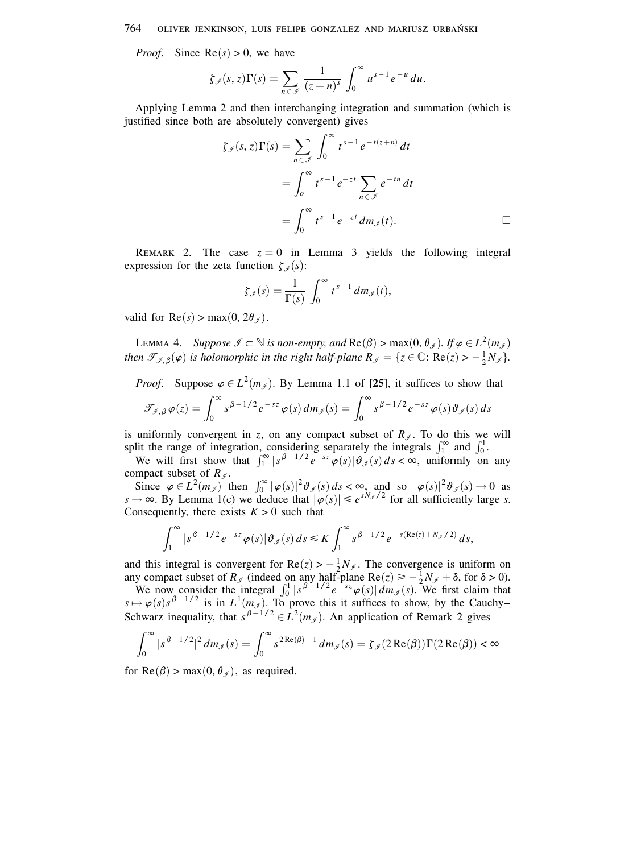#### 764 OLIVER JENKINSON, LUIS FELIPE GONZALEZ AND MARIUSZ URBAŃSKI

*Proof.* Since  $Re(s) > 0$ , we have

$$
\zeta_{\mathscr{I}}(s,z)\Gamma(s)=\sum_{n\in\mathscr{I}}\frac{1}{(z+n)^s}\int_0^\infty u^{s-1}e^{-u}\,du.
$$

Applying Lemma 2 and then interchanging integration and summation (which is justified since both are absolutely convergent) gives

$$
\zeta_{\mathcal{J}}(s, z)\Gamma(s) = \sum_{n \in \mathcal{J}} \int_0^\infty t^{s-1} e^{-t(z+n)} dt
$$
  
= 
$$
\int_0^\infty t^{s-1} e^{-zt} \sum_{n \in \mathcal{J}} e^{-tn} dt
$$
  
= 
$$
\int_0^\infty t^{s-1} e^{-zt} dm_{\mathcal{J}}(t).
$$

REMARK 2. The case  $z = 0$  in Lemma 3 yields the following integral expression for the zeta function  $\zeta_{\mathscr{I}}(s)$ :

$$
\zeta_{\mathscr{I}}(s) = \frac{1}{\Gamma(s)} \int_0^\infty t^{s-1} \, dm_{\mathscr{I}}(t)
$$

valid for  $\text{Re}(s) > \max(0, 2\theta_{\mathcal{J}})$ .

LEMMA 4. Suppose  $\mathscr{I} \subset \mathbb{N}$  is non-empty, and  $\text{Re}(\beta) > \max(0, \theta_{\mathscr{I}})$ . If  $\varphi \in L^2(m_{\mathscr{I}})$ then  $\mathcal{T}_{\mathcal{I},\beta}(\varphi)$  is holomorphic in the right half-plane  $R_{\mathcal{I}} = \{z \in \mathbb{C} : \text{Re}(z) > -\frac{1}{2}N_{\mathcal{I}}\}.$ 

*Proof.* Suppose  $\varphi \in L^2(m_\mathscr{I})$ . By Lemma 1.1 of [25], it suffices to show that

$$
\mathscr{T}_{\mathscr{I},\beta}\varphi(z)=\int_0^\infty s^{\beta-1/2}e^{-sz}\varphi(s)\,dm_{\mathscr{I}}(s)=\int_0^\infty s^{\beta-1/2}e^{-sz}\varphi(s)\vartheta_{\mathscr{I}}(s)\,ds
$$

is uniformly convergent in z, on any compact subset of  $R_{\mathcal{J}}$ . To do this we will

split the range of integration, considering separately the integrals  $\int_1^{\infty}$  and  $\int_0^1$ .<br>We will first show that  $\int_1^{\infty} |s^{\beta - 1/2} e^{-sz} \varphi(s)| \vartheta_{\mathcal{J}}(s) ds < \infty$ , uniformly on any compact subset of  $R_{\mathscr{I}}$ .

Since  $\varphi \in L^2(m_\mathscr{I})$  then  $\int_0^\infty |\varphi(s)|^2 \vartheta_{\mathscr{I}}(s) ds < \infty$ , and so  $|\varphi(s)|^2 \vartheta_{\mathscr{I}}(s) \to 0$  as  $s \to \infty$ . By Lemma 1(c) we deduce that  $|\varphi(s)| \leq e^{sN_\mathscr{I}/2}$  for all sufficiently large s. Consequently, there exists  $K > 0$  such that

$$
\int_1^\infty |s^{\beta-1/2} e^{-sz} \varphi(s) | \vartheta_{\mathscr{I}}(s) ds \leq K \int_1^\infty s^{\beta-1/2} e^{-s(\text{Re}(z)+N_{\mathscr{I}}/2)} ds,
$$

and this integral is convergent for  $\text{Re}(z) > -\frac{1}{2}N_f$ . The convergence is uniform on

and this integral is convergent for  $\text{Re}(z) \geq \frac{2^N y}{2^N y}$ . The convergence is different on<br>any compact subset of  $R_{\mathscr{I}}$  (indeed on any half-plane  $\text{Re}(z) \geq -\frac{1}{2}N_{\mathscr{I}} + \delta$ , for  $\delta > 0$ ).<br>We now consider the

$$
\int_0^\infty |s^{\beta - 1/2}|^2 dm_{\mathcal{J}}(s) = \int_0^\infty s^{2\operatorname{Re}(\beta) - 1} dm_{\mathcal{J}}(s) = \zeta_{\mathcal{J}}(2\operatorname{Re}(\beta))\Gamma(2\operatorname{Re}(\beta)) < \infty
$$

for  $\text{Re}(\beta) > \max(0, \theta_{\neq})$ , as required.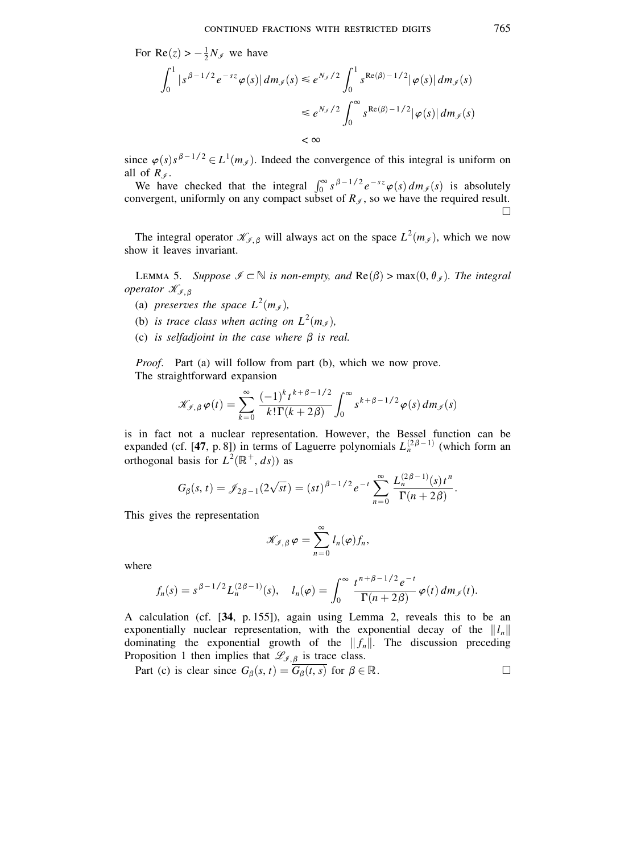For Re(z) > 
$$
-\frac{1}{2}N_{\mathscr{I}}
$$
 we have  
\n
$$
\int_0^1 |s^{\beta - 1/2} e^{-sz} \varphi(s)| dm_{\mathscr{I}}(s) \le e^{N_{\mathscr{I}}/2} \int_0^1 s^{\text{Re}(\beta) - 1/2} |\varphi(s)| dm_{\mathscr{I}}(s)
$$
\n
$$
\le e^{N_{\mathscr{I}}/2} \int_0^\infty s^{\text{Re}(\beta) - 1/2} |\varphi(s)| dm_{\mathscr{I}}(s)
$$
\n
$$
< \infty
$$

since  $\varphi(s) s^{\beta - 1/2} \in L^1(m_\mathscr{I})$ . Indeed the convergence of this integral is uniform on all of  $R_{\varnothing}$ .

We have checked that the integral  $\int_0^\infty s^{\beta-1/2} e^{-sz} \varphi(s) dm_f(s)$  is absolutely convergent, uniformly on any compact subset of  $R_{\mathscr{I}}$ , so we have the required result.  $\Box$ 

The integral operator  $\mathcal{K}_{\ell,\beta}$  will always act on the space  $L^2(m_{\ell})$ , which we now show it leaves invariant.

LEMMA 5. Suppose  $\mathcal{I} \subset \mathbb{N}$  is non-empty, and  $\text{Re}(\beta) > \max(0, \theta_{\mathcal{I}})$ . The integral operator  $\mathcal{K}_{\mathcal{I},\beta}$ 

- (a) preserves the space  $L^2(m_{\mathcal{J}})$ ,
- (b) is trace class when acting on  $L^2(m_4)$ ,
- (c) is selfadjoint in the case where  $\beta$  is real.

*Proof.* Part (a) will follow from part (b), which we now prove. The straightforward expansion

$$
\mathcal{K}_{\mathcal{I},\beta}\varphi(t) = \sum_{k=0}^{\infty} \frac{(-1)^k t^{k+\beta-1/2}}{k!\Gamma(k+2\beta)} \int_0^{\infty} s^{k+\beta-1/2} \varphi(s) \, dm_{\mathcal{I}}(s)
$$

is in fact not a nuclear representation. However, the Bessel function can be expanded (cf. [47, p. 8]) in terms of Laguerre polynomials  $L_n^{(2\beta-1)}$  (which form an orthogonal basis for  $L^2(\mathbb{R}^+, ds)$  as

$$
G_{\beta}(s,t)=\mathscr{J}_{2\beta-1}(2\sqrt{st})=(st)^{\beta-1/2}e^{-t}\sum_{n=0}^{\infty}\frac{L_{n}^{(2\beta-1)}(s)t^{n}}{\Gamma(n+2\beta)}.
$$

This gives the representation

$$
\mathscr{K}_{\mathscr{I},\beta}\varphi=\sum_{n=0}^\infty l_n(\varphi)f_n,
$$

where

$$
f_n(s) = s^{\beta - 1/2} L_n^{(2\beta - 1)}(s), \quad l_n(\varphi) = \int_0^\infty \frac{t^{n+\beta - 1/2} e^{-t}}{\Gamma(n + 2\beta)} \varphi(t) \, dm_{\mathcal{J}}(t).
$$

A calculation (cf. [34, p. 155]), again using Lemma 2, reveals this to be an exponentially nuclear representation, with the exponential decay of the  $||l_n||$ dominating the exponential growth of the  $||f_n||$ . The discussion preceding Proposition 1 then implies that  $\mathscr{L}_{\mathscr{I},\beta}$  is trace class.

Part (c) is clear since  $G_{\beta}(s, t) = G_{\beta}(t, s)$  for  $\beta \in \mathbb{R}$ .  $\Box$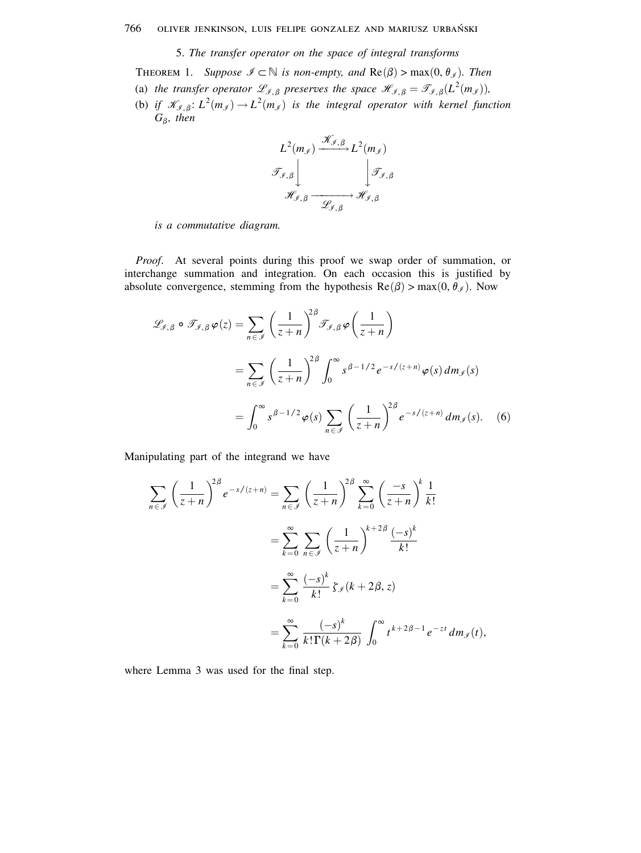# 5. The transfer operator on the space of integral transforms

THEOREM 1. Suppose  $\mathcal{I} \subset \mathbb{N}$  is non-empty, and  $\text{Re}(\beta) > \max(0, \theta_{\mathcal{I}})$ . Then

- (a) the transfer operator  $\mathcal{L}_{\mathcal{I},\beta}$  preserves the space  $\mathcal{H}_{\mathcal{I},\beta} = \mathcal{T}_{\mathcal{I},\beta}(L^2(m_{\mathcal{I}})),$
- (b) if  $\mathcal{K}_{\mathcal{I},\beta}$ :  $L^2(m_{\mathcal{I}}) \to L^2(m_{\mathcal{I}})$  is the integral operator with kernel function  $G_{\beta}$ , then





Proof. At several points during this proof we swap order of summation, or interchange summation and integration. On each occasion this is justified by absolute convergence, stemming from the hypothesis  $\text{Re}(\beta) > \max(0, \theta_{\mathcal{J}})$ . Now

$$
\mathcal{L}_{\mathcal{J},\beta} \circ \mathcal{J}_{\mathcal{J},\beta} \varphi(z) = \sum_{n \in \mathcal{J}} \left( \frac{1}{z+n} \right)^{2\beta} \mathcal{J}_{\mathcal{J},\beta} \varphi \left( \frac{1}{z+n} \right)
$$

$$
= \sum_{n \in \mathcal{J}} \left( \frac{1}{z+n} \right)^{2\beta} \int_0^\infty s^{\beta - 1/2} e^{-s/(z+n)} \varphi(s) dm_{\mathcal{J}}(s)
$$

$$
= \int_0^\infty s^{\beta - 1/2} \varphi(s) \sum_{n \in \mathcal{J}} \left( \frac{1}{z+n} \right)^{2\beta} e^{-s/(z+n)} dm_{\mathcal{J}}(s). \quad (6)
$$

Manipulating part of the integrand we have

$$
\sum_{n \in \mathcal{J}} \left(\frac{1}{z+n}\right)^{2\beta} e^{-s/(z+n)} = \sum_{n \in \mathcal{J}} \left(\frac{1}{z+n}\right)^{2\beta} \sum_{k=0}^{\infty} \left(\frac{-s}{z+n}\right)^{k} \frac{1}{k!}
$$

$$
= \sum_{k=0}^{\infty} \sum_{n \in \mathcal{J}} \left(\frac{1}{z+n}\right)^{k+2\beta} \frac{(-s)^{k}}{k!}
$$

$$
= \sum_{k=0}^{\infty} \frac{(-s)^{k}}{k!} \zeta_{\mathcal{J}}(k+2\beta, z)
$$

$$
= \sum_{k=0}^{\infty} \frac{(-s)^{k}}{k! \Gamma(k+2\beta)} \int_{0}^{\infty} t^{k+2\beta-1} e^{-zt} dm_{\mathcal{J}}(t)
$$

where Lemma 3 was used for the final step.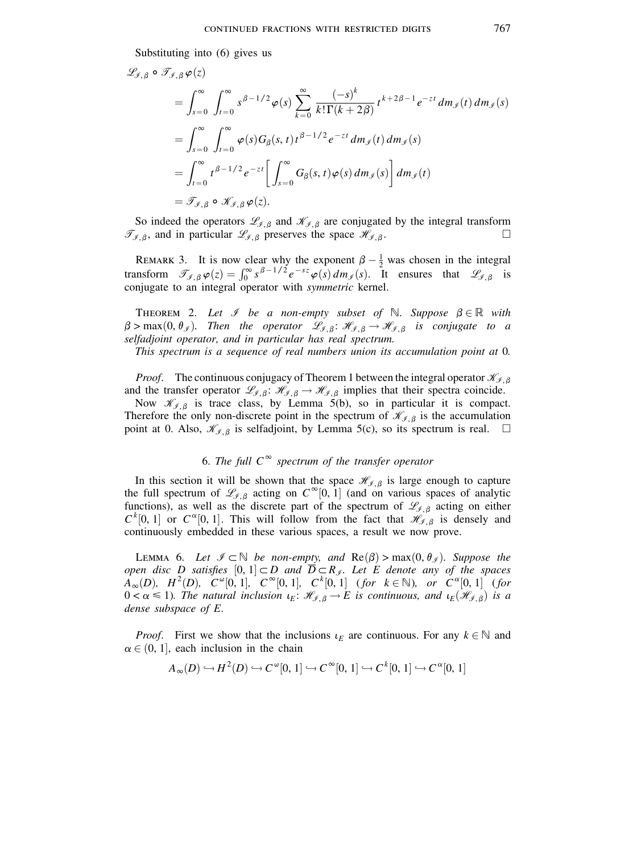Substituting into (6) gives us  $\left( \right)$ 

 $\epsilon$ 

 $\overline{a}$ 

$$
\mathcal{L}_{\mathcal{J},\beta} \circ \mathcal{I}_{\mathcal{J},\beta} \varphi(z)
$$
\n
$$
= \int_{s=0}^{\infty} \int_{t=0}^{\infty} s^{\beta - 1/2} \varphi(s) \sum_{k=0}^{\infty} \frac{(-s)^k}{k! \Gamma(k+2\beta)} t^{k+2\beta - 1} e^{-zt} dm_{\mathcal{J}}(t) dm_{\mathcal{J}}(s)
$$
\n
$$
= \int_{s=0}^{\infty} \int_{t=0}^{\infty} \varphi(s) G_{\beta}(s,t) t^{\beta - 1/2} e^{-zt} dm_{\mathcal{J}}(t) dm_{\mathcal{J}}(s)
$$
\n
$$
= \int_{t=0}^{\infty} t^{\beta - 1/2} e^{-zt} \left[ \int_{s=0}^{\infty} G_{\beta}(s,t) \varphi(s) dm_{\mathcal{J}}(s) \right] dm_{\mathcal{J}}(t)
$$
\n
$$
= \mathcal{J}_{\mathcal{J},\beta} \circ \mathcal{K}_{\mathcal{J},\beta} \varphi(z).
$$

So indeed the operators  $\mathcal{L}_{\mathcal{I},\beta}$  and  $\mathcal{K}_{\mathcal{I},\beta}$  are conjugated by the integral transform  $\mathcal{T}_{\mathcal{I},\beta}$ , and in particular  $\mathcal{L}_{\mathcal{I},\beta}$  preserves the space  $\mathcal{H}_{\mathcal{I},\beta}$ .  $\Box$ 

REMARK 3. It is now clear why the exponent  $\beta - \frac{1}{2}$  was chosen in the integral transform  $\mathcal{T}_{\mathcal{J},\beta}\varphi(z) = \int_0^\infty s^{\beta - 1/2} e^{-sz} \varphi(s) dm_\mathcal{J}(s)$ . It ensures that  $\mathcal{L}_{\mathcal{J},\beta}$  is conjugate to an integral operator with symmetric kernel.

THEOREM 2. Let  $\mathcal I$  be a non-empty subset of  $\mathbb N$ . Suppose  $\beta \in \mathbb R$  with  $\beta > \max(0, \theta_{\mathcal{J}})$ . Then the operator  $\mathcal{L}_{\mathcal{J},\beta}$ :  $\mathcal{H}_{\mathcal{J},\beta} \to \mathcal{H}_{\mathcal{J},\beta}$  is conjugate to a selfadjoint operator, and in particular has real spectrum.

This spectrum is a sequence of real numbers union its accumulation point at 0.

*Proof.* The continuous conjugacy of Theorem 1 between the integral operator  $\mathcal{K}_{\mathcal{I}, \beta}$ and the transfer operator  $\mathcal{L}_{\mathcal{J},\beta}$ :  $\mathcal{H}_{\mathcal{J},\beta} \to \mathcal{H}_{\mathcal{J},\beta}$  implies that their spectra coincide.

Now  $\mathcal{K}_{\mathcal{I},\beta}$  is trace class, by Lemma 5(b), so in particular it is compact. Therefore the only non-discrete point in the spectrum of  $\mathcal{K}_{f, \beta}$  is the accumulation point at 0. Also,  $\mathcal{K}_{\mathcal{I},\beta}$  is selfadjoint, by Lemma 5(c), so its spectrum is real.  $\square$ 

# 6. The full  $C^{\infty}$  spectrum of the transfer operator

In this section it will be shown that the space  $\mathcal{H}_{\mathcal{I},\beta}$  is large enough to capture the full spectrum of  $\mathcal{L}_{\mathcal{I},\beta}$  acting on  $C^{\infty}[0, 1]$  (and on various spaces of analytic functions), as well as the discrete part of the spectrum of  $\mathcal{L}_{f, \beta}$  acting on either  $C^{k}[0, 1]$  or  $C^{\alpha}[0, 1]$ . This will follow from the fact that  $\mathcal{H}_{\mathcal{I}, \beta}$  is densely and continuously embedded in these various spaces, a result we now prove.

LEMMA 6. Let  $\mathcal{I} \subset \mathbb{N}$  be non-empty, and  $\text{Re}(\beta) > \max(0, \theta_{\mathcal{I}})$ . Suppose the open disc D satisfies  $[0, 1] \subset D$  and  $\overline{D} \subset R_{\mathcal{J}}$ . Let E denote any of the spaces  $A_{\infty}(D), H^2(D), C^{\omega}[0,1], C^{\infty}[0,1], C^k[0,1]$  (for  $k \in \mathbb{N}$ ), or  $C^{\alpha}[0,1]$  (for  $0 < \alpha \leq 1$ ). The natural inclusion  $\iota_E$ :  $\mathcal{H}_{\mathcal{J},\beta} \to E$  is continuous, and  $\iota_E(\mathcal{H}_{\mathcal{J},\beta})$  is a dense subspace of  $E$ .

*Proof.* First we show that the inclusions  $\iota_E$  are continuous. For any  $k \in \mathbb{N}$  and  $\alpha \in (0, 1]$ , each inclusion in the chain

$$
A_{\infty}(D) \hookrightarrow H^{2}(D) \hookrightarrow C^{\omega}[0, 1] \hookrightarrow C^{\infty}[0, 1] \hookrightarrow C^{k}[0, 1] \hookrightarrow C^{\alpha}[0, 1]
$$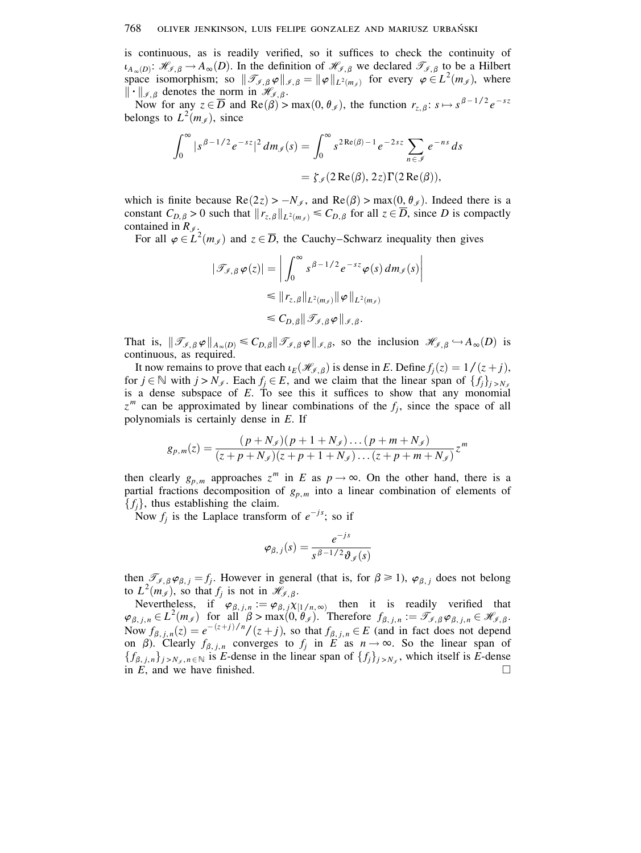is continuous, as is readily verified, so it suffices to check the continuity of  $\iota_{A_{\infty}(D)}\colon \mathscr{H}_{\mathscr{I},\beta}\to A_{\infty}(D)$ . In the definition of  $\mathscr{H}_{\mathscr{I},\beta}$  we declared  $\mathscr{T}_{\mathscr{I},\beta}$  to be a Hilbert space isomorphism; so  $\|\mathcal{T}_{\mathcal{J},\beta}\varphi\|_{\mathcal{J},\beta} = \|\varphi\|_{L^2(m_{\mathcal{J}})}$  for every  $\varphi \in L^2(m_{\mathcal{J}})$ , where  $\|\cdot\|_{\mathcal{J},\beta}$  denotes the norm in  $\mathcal{H}_{\mathcal{J},\beta}$ .

Now for any  $z \in \overline{D}$  and  $\text{Re}(\tilde{\beta})$  > max $(0, \theta_{\tilde{\beta}})$ , the function  $r_{z, \beta}: s \mapsto s^{\beta - 1/2} e^{-sz}$ belongs to  $L^2(m_{\mathscr{I}})$ , since

$$
\int_0^\infty |s^{\beta - 1/2} e^{-sz}|^2 dm_{\mathcal{J}}(s) = \int_0^\infty s^{2 \operatorname{Re}(\beta) - 1} e^{-2sz} \sum_{n \in \mathcal{J}} e^{-ns} ds
$$

$$
= \zeta_{\mathcal{J}}(2 \operatorname{Re}(\beta), 2z) \Gamma(2 \operatorname{Re}(\beta)),
$$

which is finite because  $\text{Re}(2z) > -N_{\mathscr{J}}$ , and  $\text{Re}(\beta) > \max(0, \theta_{\mathscr{J}})$ . Indeed there is a constant  $C_{D,\beta} > 0$  such that  $||r_{z,\beta}||_{L^2(m_\beta)} \leq C_{D,\beta}$  for all  $z \in \overline{D}$ , since D is compactly contained in  $R_{\mathscr{I}}$ .

For all  $\varphi \in L^2(m_{\ell})$  and  $z \in \overline{D}$ , the Cauchy–Schwarz inequality then gives

$$
|\mathcal{T}_{\mathcal{J},\beta}\varphi(z)| = \left| \int_0^\infty s^{\beta - 1/2} e^{-sz} \varphi(s) dm_{\mathcal{J}}(s) \right|
$$
  
\n
$$
\leq ||r_{z,\beta}||_{L^2(m_{\mathcal{J}})} ||\varphi||_{L^2(m_{\mathcal{J}})}
$$
  
\n
$$
\leq C_{D,\beta} || \mathcal{J}_{\mathcal{J},\beta}\varphi ||_{\mathcal{J},\beta}.
$$

That is,  $\|\mathcal{T}_{\mathcal{J},\beta}\varphi\|_{A_{\infty}(D)} \leq C_{D,\beta} \|\mathcal{T}_{\mathcal{J},\beta}\varphi\|_{\mathcal{J},\beta}$ , so the inclusion  $\mathcal{H}_{\mathcal{J},\beta} \hookrightarrow A_{\infty}(D)$  is continuous, as required.

It now remains to prove that each  $\iota_E(\mathcal{H}_{\mathcal{J},\beta})$  is dense in E. Define  $f_i(z) = 1/(z+j)$ , for  $j \in \mathbb{N}$  with  $j > N_{\mathcal{J}}$ . Each  $f_i \in E$ , and we claim that the linear span of  $\{f_i\}_{i>N_{\mathcal{J}}}$ is a dense subspace of  $E$ . To see this it suffices to show that any monomial  $z^m$  can be approximated by linear combinations of the  $f_i$ , since the space of all polynomials is certainly dense in  $E$ . If

$$
g_{p,m}(z) = \frac{(p+N_{\mathscr{I}})(p+1+N_{\mathscr{I}})\dots(p+m+N_{\mathscr{I}})}{(z+p+N_{\mathscr{I}})(z+p+1+N_{\mathscr{I}})\dots(z+p+m+N_{\mathscr{I}})}z^{m}
$$

then clearly  $g_{p,m}$  approaches  $z^m$  in E as  $p \to \infty$ . On the other hand, there is a partial fractions decomposition of  $g_{p,m}$  into a linear combination of elements of  $\{f_i\}$ , thus establishing the claim.

Now  $f_j$  is the Laplace transform of  $e^{-js}$ ; so if

$$
\boldsymbol{\varphi}_{\beta,\,j}(s) = \frac{e^{-js}}{s^{\beta-1/2}\boldsymbol{\vartheta}_{\mathscr{J}}(s)}
$$

then  $\mathscr{T}_{\mathscr{I},\beta}\varphi_{\beta,j} = f_j$ . However in general (that is, for  $\beta \ge 1$ ),  $\varphi_{\beta,j}$  does not belong to  $L^2(m_{\mathscr{I}})$ , so that  $f_j$  is not in  $\mathscr{H}_{\mathscr{I},\beta}$ .

Nevertheless, if  $\varphi_{\beta, j, n} := \varphi_{\beta, j} \chi_{[1/n, \infty)}$  then it is readily verified that  $\varphi_{\beta, j, n} \in L^2(m_\mathscr{I})$  for all  $\beta > \max(0, \theta_\mathscr{I})$ . Therefore  $f_{\beta, j, n} := \mathscr{T}_{\mathscr{I}, \beta} \varphi_{\beta, j, n} \in \mathscr{H}_{\mathscr{I}, \beta}$ . Now  $f_{\beta, j, n}(z) = e^{-(z+j)/n}/(z+j)$ , so that  $f_{\beta, j, n} \in E$  (and in fact does not depend on  $\beta$ ). Clearly  $f_{\beta, j, n}$  converges to  $f_j$  in E as  $n \to \infty$ . So the linear span of  $\{f_{\beta,j,n}\}_{j>N_\ell,n\in\mathbb{N}}$  is E-dense in the linear span of  $\{f_j\}_{j>N_\ell}$ , which itself is E-dense in  $E$ , and we have finished.  $\Box$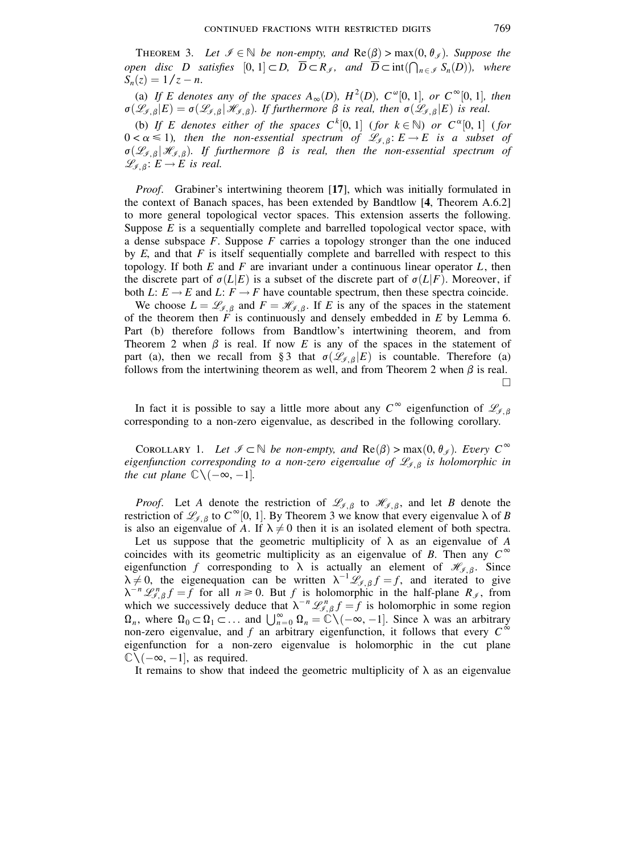THEOREM 3. Let  $\mathcal{I} \in \mathbb{N}$  be non-empty, and  $\text{Re}(\beta) > \max(0, \theta_{\mathcal{I}})$ . Suppose the open disc D satisfies  $[0, 1] \subset D$ ,  $\overline{D} \subset R_{\mathcal{J}}$ , and  $\overline{D} \subset \text{int}(\bigcap_{n \in \mathcal{J}} S_n(D))$ , where  $S_n(z) = 1/z - n$ .

(a) If E denotes any of the spaces  $A_{\infty}(D)$ ,  $H^2(D)$ ,  $C^{\omega}[0, 1]$ , or  $C^{\infty}[0, 1]$ , then  $\sigma(\mathscr{L}_{\mathscr{I},\beta}|E) = \sigma(\mathscr{L}_{\mathscr{I},\beta}|\mathscr{H}_{\mathscr{I},\beta})$ . If furthermore  $\beta$  is real, then  $\sigma(\mathscr{L}_{\mathscr{I},\beta}|E)$  is real.

(b) If E denotes either of the spaces  $C^k[0,1]$  (for  $k \in \mathbb{N}$ ) or  $C^{\alpha}[0,1]$  (for  $0 < \alpha \le 1$ ), then the non-essential spectrum of  $\mathcal{L}_{\mathcal{J}, \beta} : E \to E$  is a subset of  $\sigma(\mathcal{L}_{\mathcal{I},\beta}|\mathcal{H}_{\mathcal{I},\beta})$ . If furthermore  $\beta$  is real, then the non-essential spectrum of  $\mathscr{L}_{\mathscr{I},\beta}$ :  $E \to E$  is real.

*Proof.* Grabiner's intertwining theorem [17], which was initially formulated in the context of Banach spaces, has been extended by Bandtlow [4, Theorem A.6.2] to more general topological vector spaces. This extension asserts the following. Suppose  $E$  is a sequentially complete and barrelled topological vector space, with a dense subspace  $F$ . Suppose  $F$  carries a topology stronger than the one induced by  $E$ , and that  $F$  is itself sequentially complete and barrelled with respect to this topology. If both E and F are invariant under a continuous linear operator  $L$ , then the discrete part of  $\sigma(L|E)$  is a subset of the discrete part of  $\sigma(L|F)$ . Moreover, if both L:  $E \rightarrow E$  and L:  $F \rightarrow F$  have countable spectrum, then these spectra coincide.

We choose  $L = \mathcal{L}_{\mathcal{J}, \beta}$  and  $F = \mathcal{H}_{\mathcal{J}, \beta}$ . If E is any of the spaces in the statement of the theorem then  $F$  is continuously and densely embedded in  $E$  by Lemma 6. Part (b) therefore follows from Bandtlow's intertwining theorem, and from Theorem 2 when  $\beta$  is real. If now E is any of the spaces in the statement of part (a), then we recall from § 3 that  $\sigma(\mathcal{L}_{\mathcal{J},\beta}|E)$  is countable. Therefore (a) follows from the intertwining theorem as well, and from Theorem 2 when  $\beta$  is real.  $\Box$ 

In fact it is possible to say a little more about any  $C^{\infty}$  eigenfunction of  $\mathscr{L}_{\mathscr{I}, \beta}$ corresponding to a non-zero eigenvalue, as described in the following corollary.

COROLLARY 1. Let  $\mathcal{I} \subset \mathbb{N}$  be non-empty, and  $\text{Re}(\beta) > \max(0, \theta_{\mathcal{I}})$ . Every  $C^{\infty}$ eigenfunction corresponding to a non-zero eigenvalue of  $\mathcal{L}_{f, \beta}$  is holomorphic in the cut plane  $\mathbb{C}\setminus(-\infty,-1]$ .

*Proof.* Let A denote the restriction of  $\mathcal{L}_{\mathcal{I},\beta}$  to  $\mathcal{H}_{\mathcal{I},\beta}$ , and let B denote the restriction of  $\mathcal{L}_{\mathcal{I},\beta}$  to  $C^{\infty}[0, 1]$ . By Theorem 3 we know that every eigenvalue  $\lambda$  of B is also an eigenvalue of A. If  $\lambda \neq 0$  then it is an isolated element of both spectra.

Let us suppose that the geometric multiplicity of  $\lambda$  as an eigenvalue of A coincides with its geometric multiplicity as an eigenvalue of B. Then any  $C^{\infty}$ eigenfunction f corresponding to  $\lambda$  is actually an element of  $\mathcal{H}_{\mathcal{J},\beta}$ . Since  $\lambda \neq 0$ , the eigenequation can be written  $\lambda^{-1} \mathscr{L}_{\ell, \beta} f = f$ , and iterated to give  $\lambda^{-n} \mathcal{L}_{\mathcal{I},\beta}^n f = f$  for all  $n \ge 0$ . But f is holomorphic in the half-plane  $R_{\mathcal{I}}$ , from<br>which we successively deduce that  $\lambda^{-n} \mathcal{L}_{\mathcal{I},\beta}^n f = f$  is holomorphic in some region<br> $\Omega_n$ , where  $\Omega_0 \subset \Omega_1 \subset \dots$ non-zero eigenvalue, and f an arbitrary eigenfunction, it follows that every  $C^{\infty}$ eigenfunction for a non-zero eigenvalue is holomorphic in the cut plane  $\mathbb{C}\setminus(-\infty,-1]$ , as required.

It remains to show that indeed the geometric multiplicity of  $\lambda$  as an eigenvalue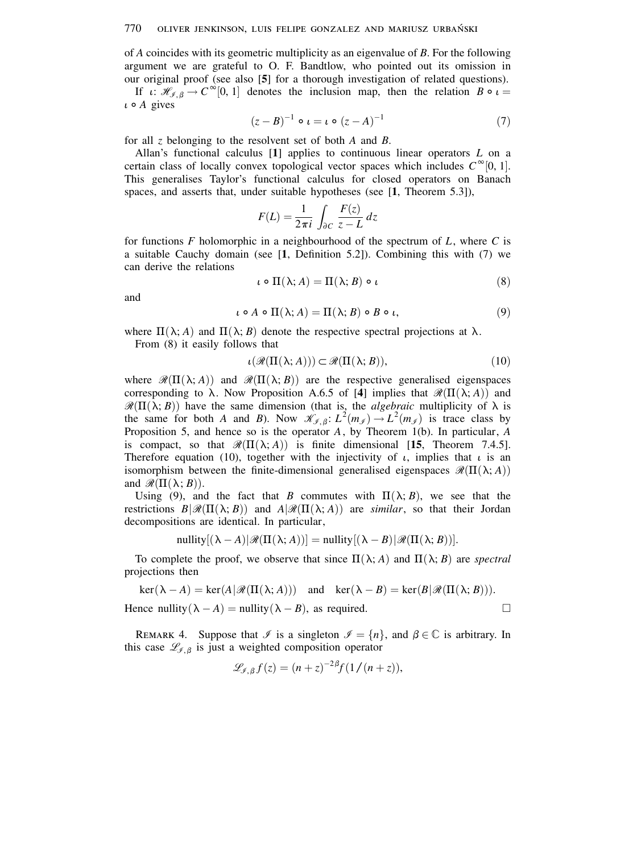### 770 OLIVER JENKINSON, LUIS FELIPE GONZALEZ AND MARIUSZ URBAŃSKI

of A coincides with its geometric multiplicity as an eigenvalue of  $B$ . For the following argument we are grateful to O. F. Bandtlow, who pointed out its omission in our original proof (see also [5] for a thorough investigation of related questions).

If  $\iota: \mathcal{H}_{\mathcal{J},\beta} \to C^{\infty}[0,1]$  denotes the inclusion map, then the relation  $B \circ \iota =$  $\iota \circ A$  gives

$$
(z - B)^{-1} \circ \iota = \iota \circ (z - A)^{-1} \tag{7}
$$

for all z belonging to the resolvent set of both  $A$  and  $B$ .

Allan's functional calculus  $[1]$  applies to continuous linear operators L on a certain class of locally convex topological vector spaces which includes  $C^{\infty}[0, 1]$ . This generalises Taylor's functional calculus for closed operators on Banach spaces, and asserts that, under suitable hypotheses (see [1, Theorem 5.3]),

$$
F(L) = \frac{1}{2\pi i} \int_{\partial C} \frac{F(z)}{z - L} dz
$$

for functions F holomorphic in a neighbourhood of the spectrum of  $L$ , where C is a suitable Cauchy domain (see [1, Definition 5.2]). Combining this with (7) we can derive the relations

$$
\iota \circ \Pi(\lambda; A) = \Pi(\lambda; B) \circ \iota \tag{8}
$$

and

$$
\iota \circ A \circ \Pi(\lambda; A) = \Pi(\lambda; B) \circ B \circ \iota,\tag{9}
$$

where  $\Pi(\lambda; A)$  and  $\Pi(\lambda; B)$  denote the respective spectral projections at  $\lambda$ . From  $(8)$  it easily follows that

$$
\iota(\mathcal{R}(\Pi(\lambda;A))) \subset \mathcal{R}(\Pi(\lambda;B)),\tag{10}
$$

where  $\mathcal{R}(\Pi(\lambda; A))$  and  $\mathcal{R}(\Pi(\lambda; B))$  are the respective generalised eigenspaces corresponding to  $\lambda$ . Now Proposition A.6.5 of [4] implies that  $\mathcal{R}(\Pi(\lambda; A))$  and  $\mathcal{R}(\Pi(\lambda; B))$  have the same dimension (that is, the *algebraic* multiplicity of  $\lambda$  is the same for both A and B). Now  $\mathcal{K}_{\mathcal{J},\beta}: L^2(m_{\mathcal{J}}) \to L^2(m_{\mathcal{J}})$  is trace class by Proposition 5, and hence so is the operator  $A$ , by Theorem 1(b). In particular,  $A$ is compact, so that  $\mathcal{R}(\Pi(\lambda; A))$  is finite dimensional [15, Theorem 7.4.5]. Therefore equation (10), together with the injectivity of  $\iota$ , implies that  $\iota$  is an isomorphism between the finite-dimensional generalised eigenspaces  $\mathcal{R}(\Pi(\lambda;A))$ and  $\mathcal{R}(\Pi(\lambda; B)).$ 

Using (9), and the fact that B commutes with  $\Pi(\lambda; B)$ , we see that the restrictions  $B\vert \mathcal{R}(\Pi(\lambda;B))$  and  $A\vert \mathcal{R}(\Pi(\lambda;A))$  are similar, so that their Jordan decompositions are identical. In particular,

nullity $[(\lambda - A)|\mathcal{R}(\Pi(\lambda; A))]$  = nullity  $[(\lambda - B)|\mathcal{R}(\Pi(\lambda; B))]$ .

To complete the proof, we observe that since  $\Pi(\lambda; A)$  and  $\Pi(\lambda; B)$  are spectral projections then

$$
\ker(\lambda - A) = \ker(A|\mathcal{R}(\Pi(\lambda; A))) \text{ and } \ker(\lambda - B) = \ker(B|\mathcal{R}(\Pi(\lambda; B))).
$$
  
Hence nullity $(\lambda - A) = \text{nullity}(\lambda - B)$ , as required.

REMARK 4. Suppose that  $\mathcal I$  is a singleton  $\mathcal I = \{n\}$ , and  $\beta \in \mathbb C$  is arbitrary. In this case  $\mathcal{L}_{\mathcal{I},\beta}$  is just a weighted composition operator

$$
\mathscr{L}_{\mathscr{I},\beta}f(z) = (n+z)^{-2\beta}f(1/(n+z)),
$$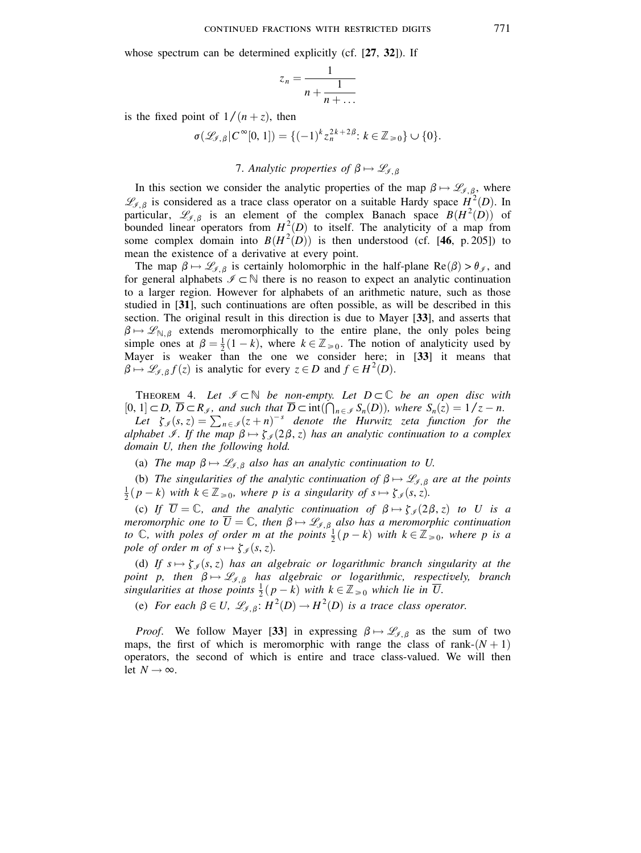whose spectrum can be determined explicitly (cf. [27, 32]). If

$$
z_n = \frac{1}{n + \frac{1}{n + \dots}}
$$

is the fixed point of  $1/(n+z)$ , then

 $\sigma(\mathcal{L}_{\mathcal{J},\beta}|C^{\infty}[0,1]) = \{(-1)^k z_n^{2k+2\beta} : k \in \mathbb{Z}_{\geq 0} \} \cup \{0\}.$ 

# 7. Analytic properties of  $\beta \mapsto \mathscr{L}_{\mathscr{I}, \beta}$

In this section we consider the analytic properties of the map  $\beta \mapsto \mathscr{L}_{\mathscr{I},\beta}$ , where  $\mathscr{L}_{\mathscr{I},\beta}$  is considered as a trace class operator on a suitable Hardy space  $H^2(D)$ . In particular,  $\mathcal{L}_{\mathcal{J},\beta}$  is an element of the complex Banach space  $B(H^2(D))$  of bounded linear operators from  $H^2(D)$  to itself. The analyticity of a map from some complex domain into  $B(H^2(D))$  is then understood (cf. [46, p. 205]) to mean the existence of a derivative at every point.

The map  $\beta \mapsto \mathscr{L}_{\mathscr{I},\beta}$  is certainly holomorphic in the half-plane Re( $\beta$ ) >  $\theta_{\mathscr{I}}$ , and for general alphabets  $\mathcal{I} \subset \mathbb{N}$  there is no reason to expect an analytic continuation to a larger region. However for alphabets of an arithmetic nature, such as those studied in [31], such continuations are often possible, as will be described in this section. The original result in this direction is due to Mayer [33], and asserts that  $\beta \mapsto \mathscr{L}_{\mathbb{N},\beta}$  extends meromorphically to the entire plane, the only poles being simple ones at  $\beta = \frac{1}{2}(1 - k)$ , where  $k \in \mathbb{Z}_{\geq 0}$ . The notion of analyticity used by Mayer is weaker than the one we consider here; in [33] it means that  $\beta \mapsto \mathscr{L}_{\mathscr{I},\beta} f(z)$  is analytic for every  $z \in D$  and  $f \in H^2(D)$ .

THEOREM 4. Let  $\mathcal{I} \subset \mathbb{N}$  be non-empty. Let  $D \subset \mathbb{C}$  be an open disc with [0, 1]  $\subset D$ ,  $\overline{D} \subset R_{\mathcal{I}}$ , and such that  $\overline{D} \subset \text{int}(\bigcap_{n \in \mathcal{I}} S_n(D))$ , where  $S_n(z) = 1/z - n$ .<br>
Let  $\zeta_{\mathcal{I}}(s, z) = \sum_{n \in \mathcal{I}} (z + n)^{-s}$  denote the Hurwitz zeta function for the alphabet *I*. If the map  $\beta \mapsto \zeta_q(2\beta, z)$  has an analytic continuation to a complex domain U, then the following hold.

(a) The map  $\beta \mapsto \mathcal{L}_{\beta,\beta}$  also has an analytic continuation to U.

(b) The singularities of the analytic continuation of  $\beta \mapsto \mathscr{L}_{\beta, \beta}$  are at the points  $\frac{1}{2}(p-k)$  with  $k \in \mathbb{Z}_{\geq 0}$ , where p is a singularity of  $s \mapsto \zeta_{\neq}(s, z)$ .

(c) If  $\overline{U} = \mathbb{C}$ , and the analytic continuation of  $\beta \mapsto \zeta_{\mathcal{J}}(2\beta, z)$  to U is a meromorphic one to  $\overline{U} = \mathbb{C}$ , then  $\beta \mapsto \mathscr{L}_{\mathscr{I},\beta}$  also has a meromorphic continuation to  $\mathbb C$ , with poles of order m at the points  $\frac{1}{2}(p-k)$  with  $k \in \mathbb Z_{\geq 0}$ , where p is a pole of order m of  $s \mapsto \zeta_s(s, z)$ .

(d) If  $s \mapsto \zeta_s(s, z)$  has an algebraic or logarithmic branch singularity at the point p, then  $\beta \mapsto \mathcal{L}_{f,\beta}$  has algebraic or logarithmic, respectively, branch singularities at those points  $\frac{1}{2}(p-k)$  with  $k \in \mathbb{Z}_{\geq 0}$  which lie in  $\overline{U}$ .

(e) For each  $\beta \in U$ ,  $\mathcal{L}_{\beta}$   $\beta$ :  $H^2(D) \to H^2(D)$  is a trace class operator.

*Proof.* We follow Mayer [33] in expressing  $\beta \mapsto \mathscr{L}_{\mathscr{I}, \beta}$  as the sum of two maps, the first of which is meromorphic with range the class of rank- $(N + 1)$ operators, the second of which is entire and trace class-valued. We will then let  $N \rightarrow \infty$ .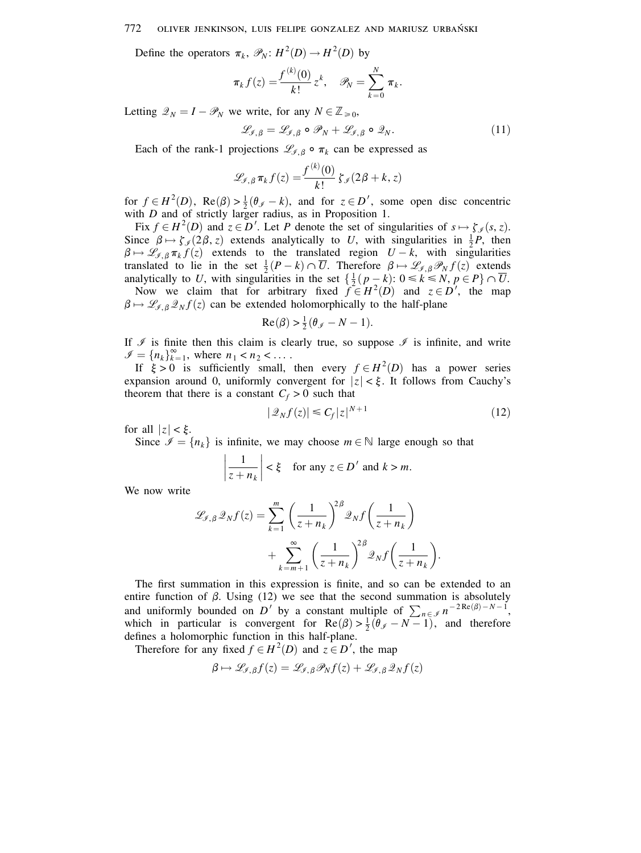### 772 OLIVER JENKINSON, LUIS FELIPE GONZALEZ AND MARIUSZ URBAŃSKI

Define the operators  $\pi_k$ ,  $\mathcal{P}_N$ :  $H^2(D) \to H^2(D)$  by

$$
\pi_k f(z) = \frac{f^{(k)}(0)}{k!} z^k, \quad \mathscr{P}_N = \sum_{k=0}^N \pi_k.
$$

Letting  $\mathcal{Q}_N = I - \mathcal{P}_N$  we write, for any  $N \in \mathbb{Z}_{\geq 0}$ ,

$$
\mathscr{L}_{\mathscr{I},\beta} = \mathscr{L}_{\mathscr{I},\beta} \circ \mathscr{P}_N + \mathscr{L}_{\mathscr{I},\beta} \circ \mathscr{Q}_N. \tag{11}
$$

Each of the rank-1 projections  $\mathcal{L}_{\ell,\beta} \circ \pi_k$  can be expressed as

$$
\mathscr{L}_{\mathscr{I},\,\beta}\,\pi_k\,f(z)=\frac{f^{(k)}(0)}{k!}\,\zeta_{\mathscr{I}}(2\,\beta+k,\,z)
$$

for  $f \in H^2(D)$ ,  $\text{Re}(\beta) > \frac{1}{2}(\theta_{\beta} - k)$ , and for  $z \in D'$ , some open disc concentric with  $D$  and of strictly larger radius, as in Proposition 1.

Fix  $f \in H^2(D)$  and  $z \in D'$ . Let P denote the set of singularities of  $s \mapsto \zeta_s(s, z)$ . Since  $\beta \mapsto \zeta_{\mathscr{I}}(2\beta, z)$  extends analytically to U, with singularities in  $\frac{1}{2}P$ , then  $\beta \mapsto \mathscr{L}_{\mathscr{I},\beta} \pi_k f(z)$  extends to the translated region  $U - k$ , with singularities translated to lie in the set  $\frac{1}{2}(P-k) \cap \overline{U}$ . Therefore  $\beta \mapsto \mathscr{L}_{\mathscr{I},\beta} \mathscr{P}_N f(z)$  extends analytically to U, with singularities in the set  $\{\frac{1}{2}(p-k): 0 \le k \le N, p \in P\} \cap \overline{U}$ .

Now we claim that for arbitrary fixed  $f \in H^2(D)$  and  $z \in D'$ , the map  $\beta \mapsto \mathcal{L}_{\mathcal{I},\beta} \mathcal{L}_N f(z)$  can be extended holomorphically to the half-plane

$$
Re(\beta) > \frac{1}{2}(\theta_{\mathscr{I}} - N - 1)
$$

If  $\mathcal I$  is finite then this claim is clearly true, so suppose  $\mathcal I$  is infinite, and write  $\mathcal{I} = \{n_k\}_{k=1}^{\infty}$ , where  $n_1 < n_2 < \dots$ 

If  $\xi > 0$  is sufficiently small, then every  $f \in H^2(D)$  has a power series expansion around 0, uniformly convergent for  $|z| < \xi$ . It follows from Cauchy's theorem that there is a constant  $C_f > 0$  such that

$$
|\mathcal{Q}_N f(z)| \leq C_f |z|^{N+1} \tag{12}
$$

for all  $|z| < \xi$ .

Since  $\mathcal{I} = \{n_k\}$  is infinite, we may choose  $m \in \mathbb{N}$  large enough so that

$$
\left|\frac{1}{z+n_k}\right| < \xi \quad \text{for any } z \in D' \text{ and } k > m.
$$

We now write

$$
\mathcal{L}_{\mathcal{J},\beta} \mathcal{Q}_N f(z) = \sum_{k=1}^m \left(\frac{1}{z+n_k}\right)^{2\beta} \mathcal{Q}_N f\left(\frac{1}{z+n_k}\right)
$$

$$
+ \sum_{k=m+1}^\infty \left(\frac{1}{z+n_k}\right)^{2\beta} \mathcal{Q}_N f\left(\frac{1}{z+n_k}\right).
$$

The first summation in this expression is finite, and so can be extended to an entire function of  $\beta$ . Using (12) we see that the second summation is absolutely and uniformly bounded on D' by a constant multiple of  $\sum_{n \in \mathcal{I}} n^{-2 \text{Re}(\beta) - N - 1}$ . which in particular is convergent for  $\text{Re}(\beta) > \frac{1}{2}(\theta_{\ell} - N - 1)$ , and therefore defines a holomorphic function in this half-plane.

Therefore for any fixed  $f \in H^2(D)$  and  $z \in D'$ , the map

$$
\beta \mapsto \mathscr{L}_{\mathscr{I},\beta} f(z) = \mathscr{L}_{\mathscr{I},\beta} \mathscr{P}_N f(z) + \mathscr{L}_{\mathscr{I},\beta} \mathscr{Q}_N f(z)
$$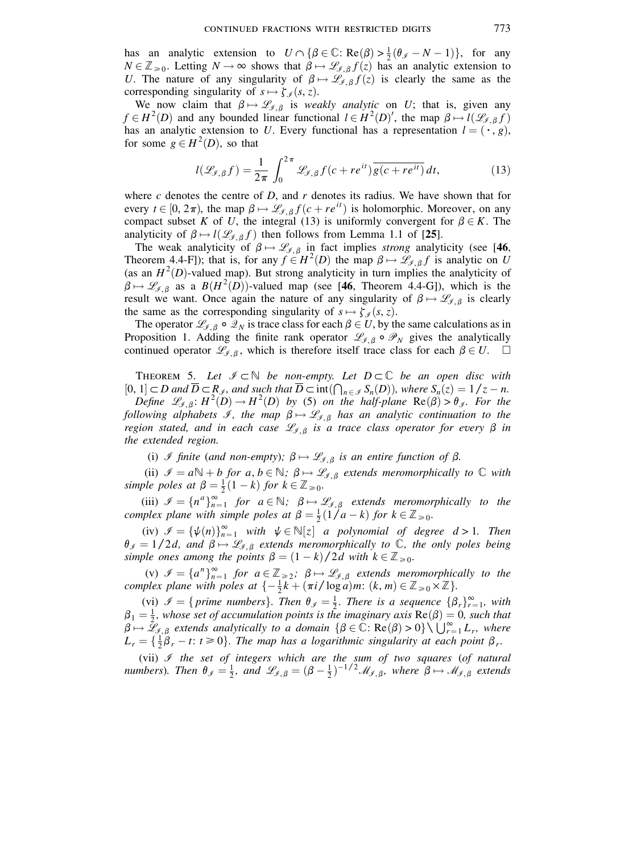has an analytic extension to  $U \cap {\beta \in \mathbb{C} : \text{Re}(\beta) > \frac{1}{2}(\theta_{\mathscr{I}} - N - 1)},$  for any  $N \in \mathbb{Z}_{\geq 0}$ . Letting  $N \to \infty$  shows that  $\beta \mapsto \mathscr{L}_{\mathscr{I}, \beta} f(z)$  has an analytic extension to U. The nature of any singularity of  $\beta \mapsto \mathscr{L}_{\ell, \beta} f(z)$  is clearly the same as the corresponding singularity of  $s \mapsto \zeta_s(s, z)$ .

We now claim that  $\beta \mapsto \mathscr{L}_{\mathscr{I},\beta}$  is weakly analytic on U; that is, given any  $f \in H^2(D)$  and any bounded linear functional  $l \in H^2(D)'$ , the map  $\beta \mapsto l(\mathcal{L}_{f,\beta}f)$ has an analytic extension to U. Every functional has a representation  $l = (\cdot, g)$ , for some  $g \in H^2(D)$ , so that

$$
l(\mathcal{L}_{\mathcal{I},\beta}f) = \frac{1}{2\pi} \int_0^{2\pi} \mathcal{L}_{\mathcal{I},\beta}f(c+re^{it})\overline{g(c+re^{it})}dt,
$$
 (13)

where c denotes the centre of  $D$ , and  $r$  denotes its radius. We have shown that for every  $t \in [0, 2\pi)$ , the map  $\beta \mapsto \mathscr{L}_{\mathscr{I}, \beta} f(c + re^{it})$  is holomorphic. Moreover, on any compact subset K of U, the integral (13) is uniformly convergent for  $\beta \in K$ . The analyticity of  $\beta \mapsto l(\mathcal{L}_{\beta,\beta}f)$  then follows from Lemma 1.1 of [25].

The weak analyticity of  $\beta \mapsto \mathscr{L}_{\mathscr{I}, \beta}$  in fact implies strong analyticity (see [46, Theorem 4.4-F]); that is, for any  $f \in H^2(D)$  the map  $\beta \mapsto \mathscr{L}_{\mathscr{I}, \beta} f$  is analytic on U (as an  $H^2(D)$ -valued map). But strong analyticity in turn implies the analyticity of  $\beta \mapsto \mathcal{L}_{\mathcal{J},\beta}$  as a  $B(H^2(D))$ -valued map (see [46, Theorem 4.4-G]), which is the result we want. Once again the nature of any singularity of  $\beta \mapsto \mathscr{L}_{\ell, \beta}$  is clearly the same as the corresponding singularity of  $s \mapsto \zeta_{\mathscr{I}}(s, z)$ .

The operator  $\mathcal{L}_{\mathcal{I},\beta} \circ \mathcal{L}_N$  is trace class for each  $\beta \in U$ , by the same calculations as in Proposition 1. Adding the finite rank operator  $\mathscr{L}_{\mathscr{I},\beta} \circ \mathscr{P}_N$  gives the analytically continued operator  $\mathcal{L}_{\mathcal{J},\beta}$ , which is therefore itself trace class for each  $\beta \in U$ .  $\square$ 

THEOREM 5. Let  $\mathcal{I} \subset \mathbb{N}$  be non-empty. Let  $D \subset \mathbb{C}$  be an open disc with  $[0, 1] \subset D$  and  $\overline{D} \subset \mathbb{R}_{\mathscr{I}}$ , and such that  $\overline{D} \subset \text{int}(\bigcap_{n \in \mathscr{I}} S_n(D))$ , where  $S_n(z) = 1/z - n$ .

Define  $\mathcal{L}_{\mathcal{J},\beta}$ :  $H^2(D) \to H^2(D)$  by (5) on the half-plane  $\text{Re}(\beta) > \theta_{\mathcal{J}}$ . For the following alphabets  $\mathscr{I}$ , the map  $\beta \mapsto \mathscr{L}_{\mathscr{I},\beta}$  has an analytic continuation to the region stated, and in each case  $\mathcal{L}_{\mathcal{I},\beta}$  is a trace class operator for every  $\beta$  in the extended region.

(i) I finite (and non-empty);  $\beta \mapsto \mathcal{L}_{\beta,\beta}$  is an entire function of  $\beta$ .

(ii)  $\mathcal{I} = a \mathbb{N} + b$  for  $a, b \in \mathbb{N}$ ;  $\beta \mapsto \mathcal{L}_{\mathcal{I}, \beta}$  extends meromorphically to  $\mathbb C$  with simple poles at  $\beta = \frac{1}{2}(1 - k)$  for  $k \in \mathbb{Z}_{\geq 0}$ .

(iii)  $\mathcal{I} = \{n^a\}_{n=1}^{\infty}$  for  $a \in \mathbb{N}$ ;  $\beta \mapsto \mathcal{L}_{\mathcal{I},\beta}$  extends meromorphically to the complex plane with simple poles at  $\beta = \frac{1}{2}(1/a - k)$  for  $k \in \mathbb{Z}_{\geq 0}$ .

(iv)  $\mathcal{I} = {\psi(n)}_{n=1}^{\infty}$  with  $\psi \in \mathbb{N}[z]$  a polynomial of degree  $d > 1$ . Then  $\theta_{\mathcal{J}} = 1/2d$ , and  $\beta \mapsto \mathcal{L}_{\mathcal{J},\beta}$  extends meromorphically to  $\mathbb{C}$ , the only poles being simple ones among the points  $\beta = (1 - k)/2d$  with  $k \in \mathbb{Z}_{\geq 0}$ .

(v)  $\mathcal{I} = \{a^n\}_{n=1}^{\infty}$  for  $a \in \mathbb{Z}_{\geq 2}$ ;  $\beta \mapsto \mathcal{L}_{\mathcal{I},\beta}$  extends meromorphically to the complex plane with poles at  $\{-\frac{1}{2}k + (\pi i/\log a)m: (k, m) \in \mathbb{Z}_{\geq 0} \times \mathbb{Z}\}.$ 

(vi)  $\mathscr{I} = \{ \text{prime numbers} \}.$  Then  $\theta_{\mathscr{I}} = \frac{1}{2}$ . There is a sequence  $\{ \beta_r \}_{r=1}^{\infty}$ , with  $\beta_1 = \frac{1}{2}$ , whose set of accumulation points is the imaginary axis  $\text{Re}(\beta) = 0$ , such that  $\beta \mapsto \bar{\mathcal{L}}_{\mathcal{J},\beta}$  extends analytically to a domain  $\{\beta \in \mathbb{C} : \text{Re}(\beta) > 0\} \setminus \bigcup_{r=1}^{\infty} L_r$ , where  $L_r = \{\frac{1}{2}\beta_r - t: t \ge 0\}$ . The map has a logarithmic singularity at each point  $\beta_r$ .

(vii)  $\mathcal I$  the set of integers which are the sum of two squares (of natural numbers). Then  $\theta_{\mathcal{J}} = \frac{1}{2}$ , and  $\mathcal{L}_{\mathcal{J},\beta} = (\beta - \frac{1}{2})^{-1/2} \mathcal{M}_{\mathcal{J},\beta}$ , where  $\beta \mapsto \mathcal{M}_{\mathcal{J},\beta}$  extends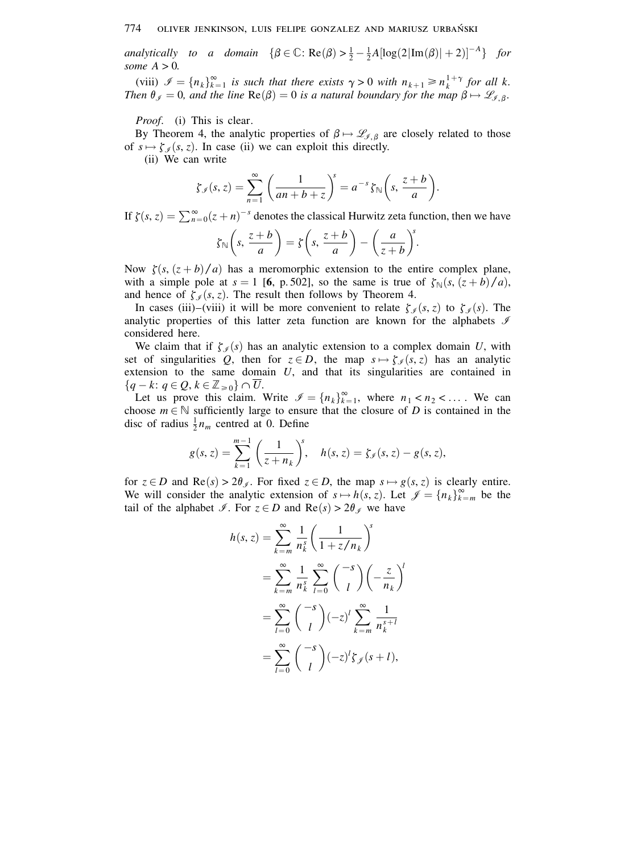analytically to a domain  $\{\beta \in \mathbb{C} : \text{Re}(\beta) > \frac{1}{2} - \frac{1}{2}A[\log(2|\text{Im}(\beta)|+2)]^{-A}\}\$  for some  $A > 0$ .

(viii)  $\mathcal{I} = \{n_k\}_{k=1}^{\infty}$  is such that there exists  $\gamma > 0$  with  $n_{k+1} \ge n_k^{1+\gamma}$  for all k. Then  $\theta_{\ell} = 0$ , and the line  $\text{Re}(\beta) = 0$  is a natural boundary for the map  $\beta \mapsto \mathscr{L}_{\ell, \beta}$ .

*Proof.* (i) This is clear.

By Theorem 4, the analytic properties of  $\beta \mapsto \mathscr{L}_{\mathscr{I},\beta}$  are closely related to those of  $s \mapsto \zeta_s(s, z)$ . In case (ii) we can exploit this directly.

(ii) We can write

$$
\zeta_{\mathcal{I}}(s,z)=\sum_{n=1}^{\infty}\left(\frac{1}{an+b+z}\right)^s=a^{-s}\zeta_{\mathbb{N}}\left(s,\frac{z+b}{a}\right).
$$

If  $\zeta(s, z) = \sum_{n=0}^{\infty} (z+n)^{-s}$  denotes the classical Hurwitz zeta function, then we have

$$
\zeta_{\mathbb{N}}\left(s,\frac{z+b}{a}\right)=\zeta\left(s,\frac{z+b}{a}\right)-\left(\frac{a}{z+b}\right)^s.
$$

Now  $\zeta(s, (z+b)/a)$  has a meromorphic extension to the entire complex plane, with a simple pole at  $s = 1$  [6, p.502], so the same is true of  $\zeta_{\mathbb{N}}(s, (z+b)/a)$ , and hence of  $\zeta_{\mathcal{J}}(s, z)$ . The result then follows by Theorem 4.

In cases (iii)–(viii) it will be more convenient to relate  $\zeta_g(s, z)$  to  $\zeta_g(s)$ . The analytic properties of this latter zeta function are known for the alphabets  $\mathcal I$ considered here.

We claim that if  $\zeta_{\ell}(s)$  has an analytic extension to a complex domain U, with set of singularities Q, then for  $z \in D$ , the map  $s \mapsto \zeta_{\mathcal{J}}(s, z)$  has an analytic extension to the same domain  $U$ , and that its singularities are contained in  ${q-k: q \in \mathcal{Q}, k \in \mathbb{Z}_{\geq 0}} \cap \overline{U}.$ 

Let us prove this claim. Write  $\mathcal{I} = \{n_k\}_{k=1}^{\infty}$ , where  $n_1 < n_2 < ...$ . We can choose  $m \in \mathbb{N}$  sufficiently large to ensure that the closure of D is contained in the disc of radius  $\frac{1}{2}n_m$  centred at 0. Define

$$
g(s, z) = \sum_{k=1}^{m-1} \left( \frac{1}{z + n_k} \right)^s, \quad h(s, z) = \zeta_s(s, z) - g(s, z),
$$

for  $z \in D$  and  $\text{Re}(s) > 2\theta_{\mathscr{I}}$ . For fixed  $z \in D$ , the map  $s \mapsto g(s, z)$  is clearly entire. We will consider the analytic extension of  $s \mapsto h(s, z)$ . Let  $\mathcal{J} = \{n_k\}_{k=m}^{\infty}$  be the tail of the alphabet  $\mathcal{I}$ . For  $z \in D$  and  $\text{Re}(s) > 2\theta_{\mathcal{I}}$  we have

$$
h(s, z) = \sum_{k=m}^{\infty} \frac{1}{n_k^s} \left( \frac{1}{1 + z/n_k} \right)^s
$$
  
= 
$$
\sum_{k=m}^{\infty} \frac{1}{n_k^s} \sum_{l=0}^{\infty} {\binom{-s}{l}} \left( -\frac{z}{n_k} \right)^l
$$
  
= 
$$
\sum_{l=0}^{\infty} {\binom{-s}{l}} (-z)^l \sum_{k=m}^{\infty} \frac{1}{n_k^{s+l}}
$$
  
= 
$$
\sum_{l=0}^{\infty} {\binom{-s}{l}} (-z)^l \zeta_{\mathcal{J}}(s+l),
$$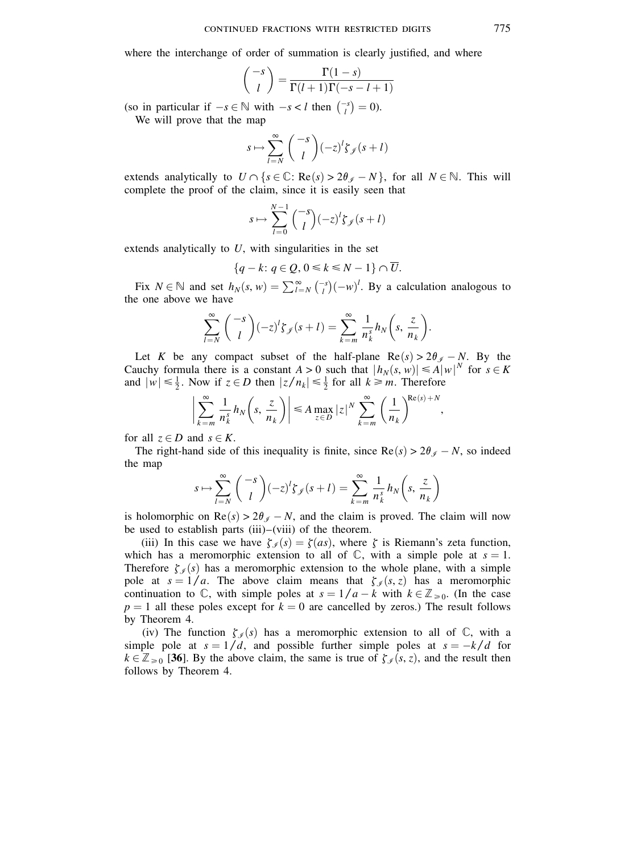### CONTINUED FRACTIONS WITH RESTRICTED DIGITS

where the interchange of order of summation is clearly justified, and where

$$
\binom{-s}{l} = \frac{\Gamma(1-s)}{\Gamma(l+1)\Gamma(-s-l+1)}
$$

(so in particular if  $-s \in \mathbb{N}$  with  $-s < l$  then  $\binom{-s}{l} = 0$ ).

We will prove that the map

$$
s \mapsto \sum_{l=N}^{\infty} \binom{-s}{l} (-z)^l \zeta_{\mathcal{J}}(s+l)
$$

extends analytically to  $U \cap \{s \in \mathbb{C} : \text{Re}(s) > 2\theta_{\mathcal{J}} - N\}$ , for all  $N \in \mathbb{N}$ . This will complete the proof of the claim, since it is easily seen that

$$
s \mapsto \sum_{l=0}^{N-1} {\binom{-s}{l}} (-z)^l \zeta_{\mathcal{J}}(s+l)
$$

extends analytically to  $U$ , with singularities in the set

$$
\{q-k\colon q\in Q, 0\leq k\leq N-1\}\cap \overline{U}.
$$

Fix  $N \in \mathbb{N}$  and set  $h_N(s, w) = \sum_{l=N}^{\infty} {\binom{-s}{l}} (-w)^l$ . By a calculation analogous to the one above we have

$$
\sum_{l=N}^{\infty} {\binom{-s}{l}} (-z)^l \zeta_{\mathscr{J}}(s+l) = \sum_{k=m}^{\infty} \frac{1}{n_k^s} h_N\left(s, \frac{z}{n_k}\right).
$$

Let K be any compact subset of the half-plane  $\text{Re}(s) > 2\theta_{\mathscr{I}} - N$ . By the Cauchy formula there is a constant  $A > 0$  such that  $|h_N(s, w)| \leq A |w|^N$  for  $s \in K$ and  $|w| \le \frac{1}{2}$ . Now if  $z \in D$  then  $|z/n_k| \le \frac{1}{2}$  for all  $k \ge m$ . Therefore

$$
\left|\sum_{k=m}^{\infty} \frac{1}{n_k^s} h_N\left(s, \frac{z}{n_k}\right)\right| \leq A \max_{z \in D} |z|^N \sum_{k=m}^{\infty} \left(\frac{1}{n_k}\right)^{\text{Re}(s)+N}
$$

for all  $z \in D$  and  $s \in K$ .

The right-hand side of this inequality is finite, since  $Re(s) > 2\theta_g - N$ , so indeed the map

$$
s \mapsto \sum_{l=N}^{\infty} \binom{-s}{l} (-z)^l \zeta_{\mathscr{J}}(s+l) = \sum_{k=m}^{\infty} \frac{1}{n_k^s} h_N\left(s, \frac{z}{n_k}\right)
$$

is holomorphic on  $\text{Re}(s) > 2\theta_s - N$ , and the claim is proved. The claim will now be used to establish parts (iii)–(viii) of the theorem.

(iii) In this case we have  $\zeta_{\mathcal{J}}(s) = \zeta(as)$ , where  $\zeta$  is Riemann's zeta function, which has a meromorphic extension to all of  $\mathbb C$ , with a simple pole at  $s = 1$ . Therefore  $\zeta_{\mathcal{J}}(s)$  has a meromorphic extension to the whole plane, with a simple pole at  $s = 1/a$ . The above claim means that  $\zeta_g(s, z)$  has a meromorphic continuation to  $\mathbb{C}$ , with simple poles at  $s = 1/a - k$  with  $k \in \mathbb{Z}_{\geq 0}$ . (In the case  $p = 1$  all these poles except for  $k = 0$  are cancelled by zeros.) The result follows by Theorem 4.

(iv) The function  $\zeta_{\mathcal{J}}(s)$  has a meromorphic extension to all of  $\mathbb{C}$ , with a simple pole at  $s = 1/d$ , and possible further simple poles at  $s = -k/d$  for  $k \in \mathbb{Z}_{\geq 0}$  [36]. By the above claim, the same is true of  $\zeta_{\mathcal{J}}(s, z)$ , and the result then follows by Theorem 4.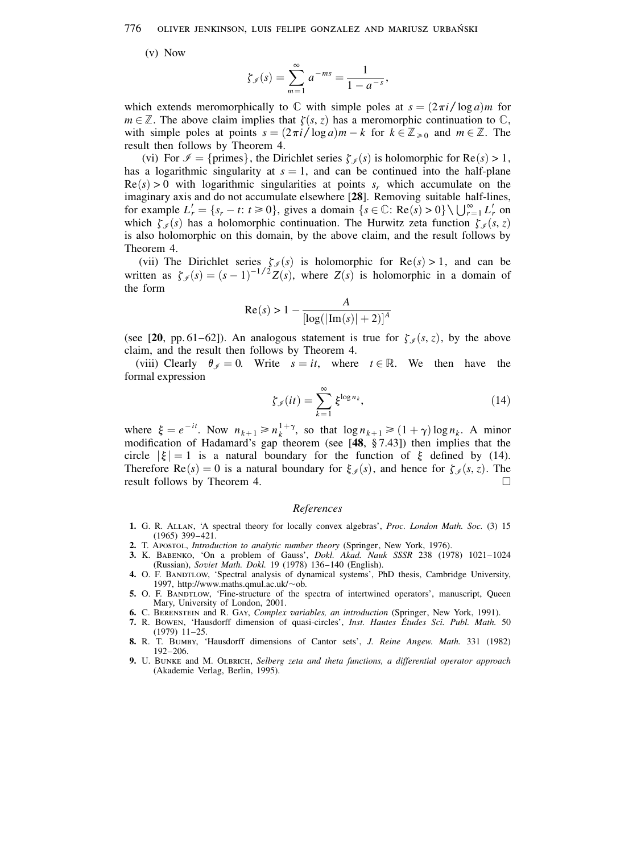776 OLIVER JENKINSON, LUIS FELIPE GONZALEZ AND MARIUSZ URBAŃSKI

 $(v)$  Now

$$
\zeta_{\mathcal{I}}(s) = \sum_{m=1}^{\infty} a^{-ms} = \frac{1}{1 - a^{-s}},
$$

which extends meromorphically to  $\mathbb C$  with simple poles at  $s = (2\pi i / \log a)m$  for  $m \in \mathbb{Z}$ . The above claim implies that  $\zeta(s, z)$  has a meromorphic continuation to  $\mathbb{C}$ , with simple poles at points  $s = (2\pi i / \log a)m - k$  for  $k \in \mathbb{Z}_{\geq 0}$  and  $m \in \mathbb{Z}$ . The result then follows by Theorem 4.

(vi) For  $\mathcal{I} = \{\text{primes}\}\$ , the Dirichlet series  $\zeta_{\mathcal{I}}(s)$  is holomorphic for  $\text{Re}(s) > 1$ , has a logarithmic singularity at  $s = 1$ , and can be continued into the half-plane  $Re(s) > 0$  with logarithmic singularities at points  $s_r$  which accumulate on the imaginary axis and do not accumulate elsewhere [28]. Removing suitable half-lines, for example  $L'_r = \{s_r - t : t \ge 0\}$ , gives a domain  $\{s \in \mathbb{C} : \text{Re}(s) > 0\} \setminus \bigcup_{r=1}^{\infty} L'_r$  on which  $\zeta_{\mathcal{J}}(s)$  has a holomorphic continuation. The Hurwitz zeta function  $\zeta_{\mathcal{J}}(s, z)$ is also holomorphic on this domain, by the above claim, and the result follows by Theorem 4.

(vii) The Dirichlet series  $\zeta_{\mathscr{I}}(s)$  is holomorphic for Re(s) > 1, and can be written as  $\zeta_s(s) = (s-1)^{-1/2} Z(s)$ , where  $Z(s)$  is holomorphic in a domain of the form

Re(s) > 1 - 
$$
\frac{A}{[\log(|\text{Im}(s)|+2)]^A}
$$

(see [20, pp. 61–62]). An analogous statement is true for  $\zeta_{\ell}(s, z)$ , by the above claim, and the result then follows by Theorem 4.

(viii) Clearly  $\theta_{\mathcal{J}} = 0$ . Write  $s = it$ , where  $t \in \mathbb{R}$ . We then have the formal expression

$$
\zeta_{\mathcal{I}}(it) = \sum_{k=1}^{\infty} \xi^{\log n_k},\tag{14}
$$

where  $\xi = e^{-it}$ . Now  $n_{k+1} \ge n_k^{1+\gamma}$ , so that  $\log n_{k+1} \ge (1+\gamma) \log n_k$ . A minor modification of Hadamard's gap theorem (see [48, §7.43]) then implies that the circle  $|\xi| = 1$  is a natural boundary for the function of  $\xi$  defined by (14). Therefore Re(s) = 0 is a natural boundary for  $\xi_{\mathscr{I}}(s)$ , and hence for  $\zeta_{\mathscr{I}}(s, z)$ . The result follows by Theorem 4.  $\Box$ 

### References

- 1. G. R. ALLAN, 'A spectral theory for locally convex algebras', Proc. London Math. Soc. (3) 15  $(1965)$  399-421.
- 2. T. APOSTOL, Introduction to analytic number theory (Springer, New York, 1976).
- 3. K. BABENKO, 'On a problem of Gauss', Dokl. Akad. Nauk SSSR 238 (1978) 1021-1024 (Russian), Soviet Math. Dokl. 19 (1978) 136-140 (English).
- 4. O. F. BANDTLOW, 'Spectral analysis of dynamical systems', PhD thesis, Cambridge University, 1997, http://www.maths.qmul.ac.uk/~ob.
- 5. O. F. BANDTLOW, 'Fine-structure of the spectra of intertwined operators', manuscript, Queen Mary, University of London, 2001.
- 6. C. BERENSTEIN and R. GAY, Complex variables, an introduction (Springer, New York, 1991).
- 7. R. Bowen, 'Hausdorff dimension of quasi-circles', Inst. Hautes Etudes Sci. Publ. Math. 50  $(1979)$  11-25.
- 8. R. T. BUMBY, 'Hausdorff dimensions of Cantor sets', J. Reine Angew. Math. 331 (1982)  $192 - 206.$
- 9. U. BUNKE and M. OLBRICH, Selberg zeta and theta functions, a differential operator approach (Akademie Verlag, Berlin, 1995).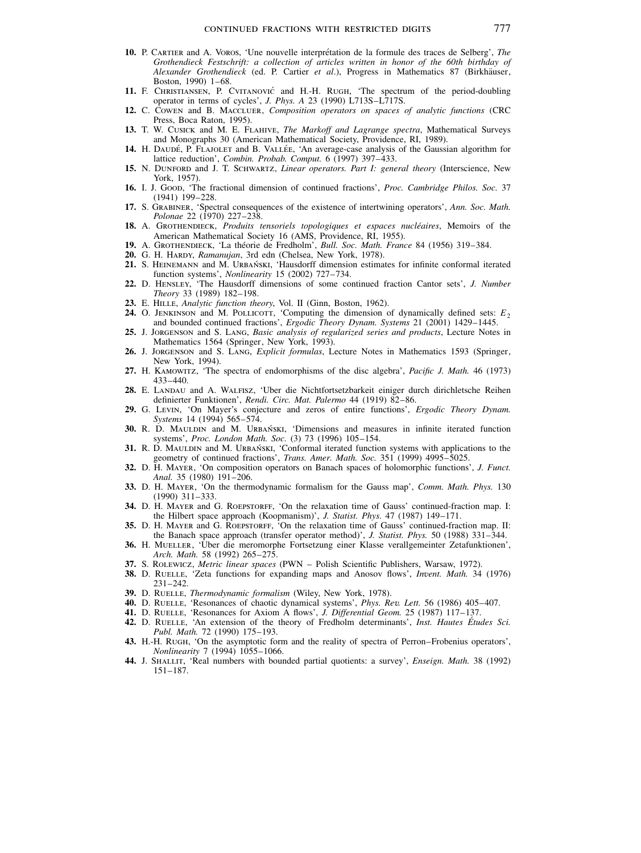- 10. P. CARTIER and A. VOROS, 'Une nouvelle interprétation de la formule des traces de Selberg', The Grothendieck Festschrift: a collection of articles written in honor of the 60th birthday of Alexander Grothendieck (ed. P. Cartier et al.), Progress in Mathematics 87 (Birkhäuser, Boston, 1990) 1-68.
- 11. F. CHRISTIANSEN, P. CVITANOVIĆ and H.-H. RUGH, 'The spectrum of the period-doubling operator in terms of cycles', J. Phys. A 23 (1990) L713S-L717S.
- 12. C. COWEN and B. MACCLUER, Composition operators on spaces of analytic functions (CRC Press, Boca Raton, 1995).
- 13. T. W. CUSICK and M. E. FLAHIVE, The Markoff and Lagrange spectra, Mathematical Surveys and Monographs 30 (American Mathematical Society, Providence, RI, 1989).
- 14. H. DAUDÉ, P. FLAJOLET and B. VALLÉE, 'An average-case analysis of the Gaussian algorithm for lattice reduction', Combin. Probab. Comput. 6 (1997) 397-433.
- 15. N. DUNFORD and J. T. SCHWARTZ, Linear operators. Part I: general theory (Interscience, New York, 1957).
- 16. I. J. Goop, 'The fractional dimension of continued fractions', Proc. Cambridge Philos. Soc. 37  $(1941)$  199-228.
- 17. S. GRABINER, 'Spectral consequences of the existence of intertwining operators', Ann. Soc. Math. Polonae 22 (1970) 227-238.
- 18. A. GROTHENDIECK, Produits tensoriels topologiques et espaces nucléaires, Memoirs of the American Mathematical Society 16 (AMS, Providence, RI, 1955).
- 19. A. GROTHENDIECK, 'La théorie de Fredholm', Bull. Soc. Math. France 84 (1956) 319–384.
- 20. G. H. HARDY, Ramanujan, 3rd edn (Chelsea, New York, 1978).
- 21. S. HEINEMANN and M. URBAŃSKI, 'Hausdorff dimension estimates for infinite conformal iterated function systems', *Nonlinearity* 15 (2002) 727-734.
- 22. D. HENSLEY, 'The Hausdorff dimensions of some continued fraction Cantor sets', J. Number Theory 33 (1989) 182-198.
- 23. E. HILLE, Analytic function theory, Vol. II (Ginn, Boston, 1962).
- 24. O. JENKINSON and M. POLLICOTT, 'Computing the dimension of dynamically defined sets:  $E_2$ and bounded continued fractions', Ergodic Theory Dynam. Systems 21 (2001) 1429-1445.
- 25. J. JORGENSON and S. LANG, Basic analysis of regularized series and products, Lecture Notes in Mathematics 1564 (Springer, New York, 1993).
- 26. J. JORGENSON and S. LANG, Explicit formulas, Lecture Notes in Mathematics 1593 (Springer, New York, 1994).
- 27. H. KAMOWITZ, 'The spectra of endomorphisms of the disc algebra', Pacific J. Math. 46 (1973)  $433 - 440.$
- 28. E. LANDAU and A. WALFISZ, 'Uber die Nichtfortsetzbarkeit einiger durch dirichletsche Reihen definierter Funktionen', Rendi. Circ. Mat. Palermo 44 (1919) 82-86.
- 29. G. LEVIN, 'On Mayer's conjecture and zeros of entire functions', Ergodic Theory Dynam. Systems 14 (1994) 565-574.
- 30. R. D. MAULDIN and M. URBAŃSKI, 'Dimensions and measures in infinite iterated function systems', Proc. London Math. Soc. (3) 73 (1996) 105-154.
- 31. R. D. MAULDIN and M. URBAŃSKI, 'Conformal iterated function systems with applications to the geometry of continued fractions', Trans. Amer. Math. Soc. 351 (1999) 4995-5025.
- 32. D. H. MAYER, 'On composition operators on Banach spaces of holomorphic functions', J. Funct. Anal. 35 (1980) 191-206.
- 33. D. H. MAYER, 'On the thermodynamic formalism for the Gauss map', Comm. Math. Phys. 130  $(1990)$  311-333.
- 34. D. H. MAYER and G. ROEPSTORFF, 'On the relaxation time of Gauss' continued-fraction map. I: the Hilbert space approach (Koopmanism)', J. Statist. Phys. 47 (1987) 149-171.
- 35. D. H. MAYER and G. ROEPSTORFF, On the relaxation time of Gauss' continued-fraction map. II: the Banach space approach (transfer operator method)', J. Statist. Phys. 50 (1988) 331-344.
- 36. H. MUELLER, 'Uber die meromorphe Fortsetzung einer Klasse verallgemeinter Zetafunktionen', Arch. Math. 58 (1992) 265-275.
- 37. S. ROLEWICZ, Metric linear spaces (PWN Polish Scientific Publishers, Warsaw, 1972).
- 38. D. RUELLE, 'Zeta functions for expanding maps and Anosov flows', Invent. Math. 34 (1976)  $231 - 242$
- 39. D. RUELLE, Thermodynamic formalism (Wiley, New York, 1978).
- 40. D. RUELLE, 'Resonances of chaotic dynamical systems', *Phys. Rev. Lett.* 56 (1986) 405–407.<br>41. D. RUELLE, 'Resonances for Axiom A flows', *J. Differential Geom.* 25 (1987) 117–137.
- 
- 42. D. RUELLE, 'An extension of the theory of Fredholm determinants', Inst. Hautes Études Sci. Publ. Math. 72 (1990) 175-193.
- 43. H.-H. RUGH, 'On the asymptotic form and the reality of spectra of Perron–Frobenius operators', Nonlinearity 7 (1994) 1055-1066.
- 44. J. SHALLIT, 'Real numbers with bounded partial quotients: a survey', *Enseign. Math.* 38 (1992)  $151 - 187.$